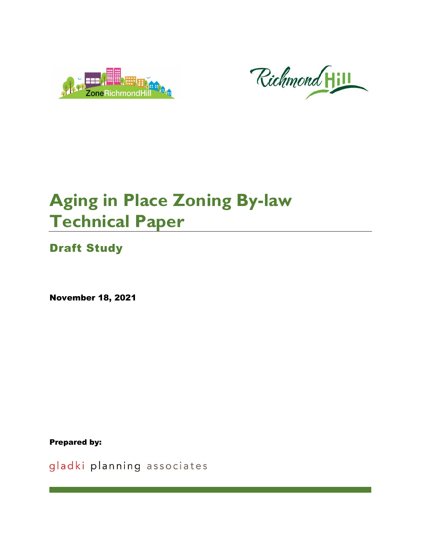



# **Aging in Place Zoning By-law Technical Paper**

Draft Study

November 18, 2021

Prepared by:

gladki planning associates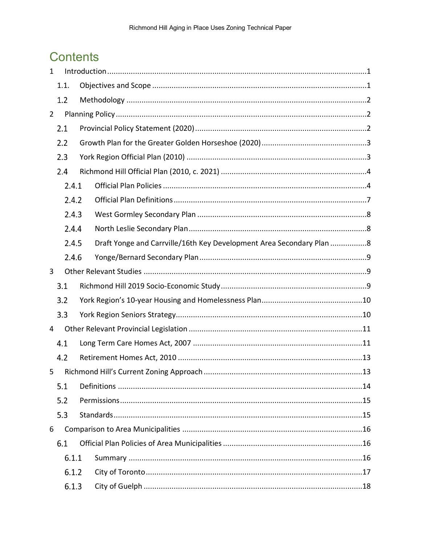## **Contents**

| $\mathbf{1}$   |       |                                                                      |  |
|----------------|-------|----------------------------------------------------------------------|--|
|                | 1.1.  |                                                                      |  |
|                | 1.2   |                                                                      |  |
| $\overline{2}$ |       |                                                                      |  |
|                | 2.1   |                                                                      |  |
|                | 2.2   |                                                                      |  |
|                | 2.3   |                                                                      |  |
|                | 2.4   |                                                                      |  |
|                | 2.4.1 |                                                                      |  |
|                | 2.4.2 |                                                                      |  |
|                | 2.4.3 |                                                                      |  |
|                | 2.4.4 |                                                                      |  |
|                | 2.4.5 | Draft Yonge and Carrville/16th Key Development Area Secondary Plan 8 |  |
|                | 2.4.6 |                                                                      |  |
| 3              |       |                                                                      |  |
|                | 3.1   |                                                                      |  |
|                | 3.2   |                                                                      |  |
|                | 3.3   |                                                                      |  |
| 4              |       |                                                                      |  |
|                | 4.1   |                                                                      |  |
|                | 4.2   |                                                                      |  |
| 5.             |       | 13                                                                   |  |
|                | 5.1   |                                                                      |  |
|                | 5.2   |                                                                      |  |
|                | 5.3   |                                                                      |  |
| 6              |       |                                                                      |  |
|                | 6.1   |                                                                      |  |
|                | 6.1.1 |                                                                      |  |
|                | 6.1.2 |                                                                      |  |
|                |       |                                                                      |  |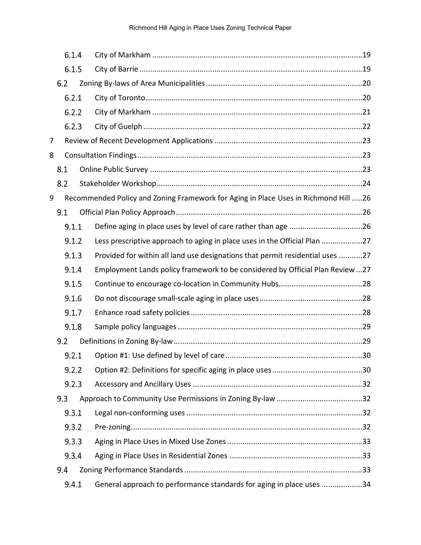|   | 6.1.4 |                                                                                     |     |
|---|-------|-------------------------------------------------------------------------------------|-----|
|   | 6.1.5 |                                                                                     |     |
|   | 6.2   |                                                                                     |     |
|   | 6.2.1 |                                                                                     |     |
|   | 6.2.2 |                                                                                     |     |
|   | 6.2.3 |                                                                                     |     |
| 7 |       |                                                                                     |     |
| 8 |       |                                                                                     |     |
|   | 8.1   |                                                                                     |     |
|   | 8.2   |                                                                                     |     |
| 9 |       | Recommended Policy and Zoning Framework for Aging in Place Uses in Richmond Hill 26 |     |
|   | 9.1   |                                                                                     |     |
|   | 9.1.1 |                                                                                     |     |
|   | 9.1.2 | Less prescriptive approach to aging in place uses in the Official Plan 27           |     |
|   | 9.1.3 | Provided for within all land use designations that permit residential uses 27       |     |
|   | 9.1.4 | Employment Lands policy framework to be considered by Official Plan Review 27       |     |
|   | 9.1.5 |                                                                                     |     |
|   | 9.1.6 |                                                                                     |     |
|   | 9.1.7 |                                                                                     |     |
|   | 9.1.8 |                                                                                     |     |
|   | 9.2   |                                                                                     |     |
|   | 9.2.1 |                                                                                     | .30 |
|   | 9.2.2 |                                                                                     |     |
|   | 9.2.3 |                                                                                     |     |
|   | 9.3   |                                                                                     |     |
|   | 9.3.1 |                                                                                     |     |
|   | 9.3.2 |                                                                                     |     |
|   | 9.3.3 |                                                                                     |     |
|   | 9.3.4 |                                                                                     |     |
|   | 9.4   |                                                                                     |     |
|   | 9.4.1 | General approach to performance standards for aging in place uses 34                |     |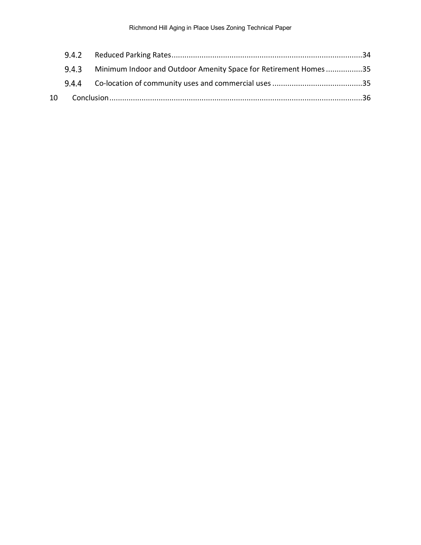|  | 9.4.3 Minimum Indoor and Outdoor Amenity Space for Retirement Homes 35 |  |
|--|------------------------------------------------------------------------|--|
|  |                                                                        |  |
|  |                                                                        |  |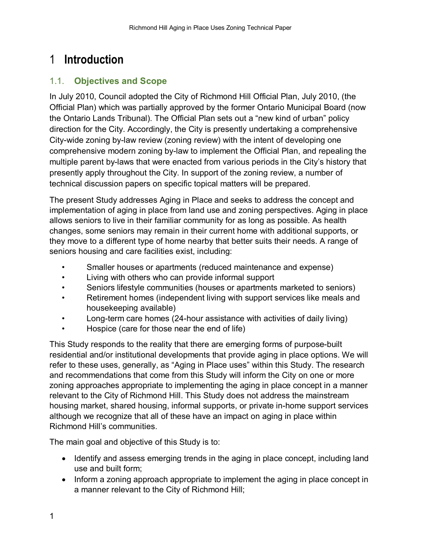## <span id="page-4-0"></span>1 **Introduction**

## <span id="page-4-1"></span>1.1. **Objectives and Scope**

In July 2010, Council adopted the City of Richmond Hill Official Plan, July 2010, (the Official Plan) which was partially approved by the former Ontario Municipal Board (now the Ontario Lands Tribunal). The Official Plan sets out a "new kind of urban" policy direction for the City. Accordingly, the City is presently undertaking a comprehensive City-wide zoning by-law review (zoning review) with the intent of developing one comprehensive modern zoning by-law to implement the Official Plan, and repealing the multiple parent by-laws that were enacted from various periods in the City's history that presently apply throughout the City. In support of the zoning review, a number of technical discussion papers on specific topical matters will be prepared.

The present Study addresses Aging in Place and seeks to address the concept and implementation of aging in place from land use and zoning perspectives. Aging in place allows seniors to live in their familiar community for as long as possible. As health changes, some seniors may remain in their current home with additional supports, or they move to a different type of home nearby that better suits their needs. A range of seniors housing and care facilities exist, including:

- Smaller houses or apartments (reduced maintenance and expense)
- Living with others who can provide informal support
- Seniors lifestyle communities (houses or apartments marketed to seniors)
- Retirement homes (independent living with support services like meals and housekeeping available)
- Long-term care homes (24-hour assistance with activities of daily living)
- Hospice (care for those near the end of life)

This Study responds to the reality that there are emerging forms of purpose-built residential and/or institutional developments that provide aging in place options. We will refer to these uses, generally, as "Aging in Place uses" within this Study. The research and recommendations that come from this Study will inform the City on one or more zoning approaches appropriate to implementing the aging in place concept in a manner relevant to the City of Richmond Hill. This Study does not address the mainstream housing market, shared housing, informal supports, or private in-home support services although we recognize that all of these have an impact on aging in place within Richmond Hill's communities.

The main goal and objective of this Study is to:

- Identify and assess emerging trends in the aging in place concept, including land use and built form;
- Inform a zoning approach appropriate to implement the aging in place concept in a manner relevant to the City of Richmond Hill;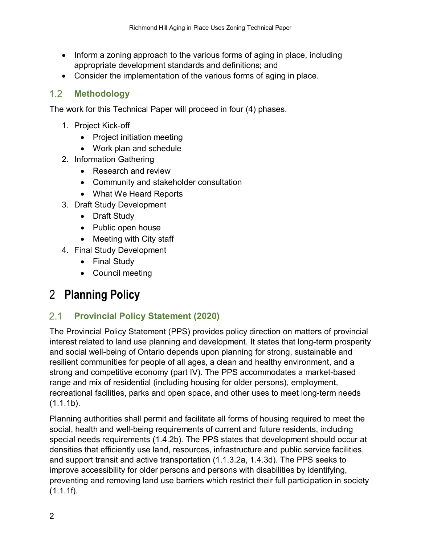- Inform a zoning approach to the various forms of aging in place, including appropriate development standards and definitions; and
- Consider the implementation of the various forms of aging in place.

### <span id="page-5-0"></span> $1.2$ **Methodology**

The work for this Technical Paper will proceed in four (4) phases.

- 1. Project Kick-off
	- Project initiation meeting
	- Work plan and schedule
- 2. Information Gathering
	- Research and review
	- Community and stakeholder consultation
	- What We Heard Reports
- 3. Draft Study Development
	- Draft Study
	- Public open house
	- Meeting with City staff
- 4. Final Study Development
	- Final Study
	- Council meeting

## <span id="page-5-1"></span>2 **Planning Policy**

#### <span id="page-5-2"></span> $2.1$ **Provincial Policy Statement (2020)**

The Provincial Policy Statement (PPS) provides policy direction on matters of provincial interest related to land use planning and development. It states that long-term prosperity and social well-being of Ontario depends upon planning for strong, sustainable and resilient communities for people of all ages, a clean and healthy environment, and a strong and competitive economy (part IV). The PPS accommodates a market-based range and mix of residential (including housing for older persons), employment, recreational facilities, parks and open space, and other uses to meet long-term needs  $(1.1.1b)$ .

Planning authorities shall permit and facilitate all forms of housing required to meet the social, health and well-being requirements of current and future residents, including special needs requirements (1.4.2b). The PPS states that development should occur at densities that efficiently use land, resources, infrastructure and public service facilities, and support transit and active transportation (1.1.3.2a, 1.4.3d). The PPS seeks to improve accessibility for older persons and persons with disabilities by identifying, preventing and removing land use barriers which restrict their full participation in society  $(1.1.1f)$ .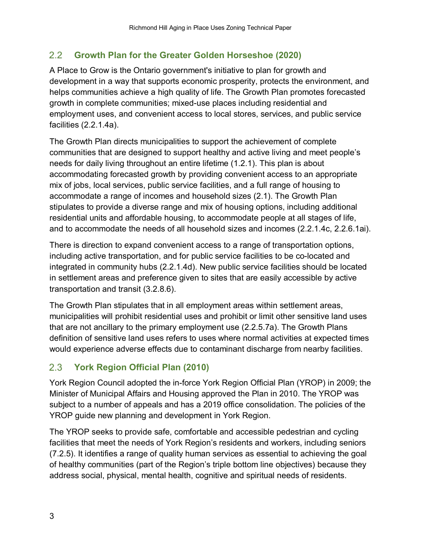### <span id="page-6-0"></span> $2.2$ **Growth Plan for the Greater Golden Horseshoe (2020)**

A Place to Grow is the Ontario government's initiative to plan for growth and development in a way that supports economic prosperity, protects the environment, and helps communities achieve a high quality of life. The Growth Plan promotes forecasted growth in complete communities; mixed-use places including residential and employment uses, and convenient access to local stores, services, and public service facilities (2.2.1.4a).

The Growth Plan directs municipalities to support the achievement of complete communities that are designed to support healthy and active living and meet people's needs for daily living throughout an entire lifetime (1.2.1). This plan is about accommodating forecasted growth by providing convenient access to an appropriate mix of jobs, local services, public service facilities, and a full range of housing to accommodate a range of incomes and household sizes (2.1). The Growth Plan stipulates to provide a diverse range and mix of housing options, including additional residential units and affordable housing, to accommodate people at all stages of life, and to accommodate the needs of all household sizes and incomes (2.2.1.4c, 2.2.6.1ai).

There is direction to expand convenient access to a range of transportation options, including active transportation, and for public service facilities to be co-located and integrated in community hubs (2.2.1.4d). New public service facilities should be located in settlement areas and preference given to sites that are easily accessible by active transportation and transit (3.2.8.6).

The Growth Plan stipulates that in all employment areas within settlement areas, municipalities will prohibit residential uses and prohibit or limit other sensitive land uses that are not ancillary to the primary employment use (2.2.5.7a). The Growth Plans definition of sensitive land uses refers to uses where normal activities at expected times would experience adverse effects due to contaminant discharge from nearby facilities.

### <span id="page-6-1"></span> $2.3$ **York Region Official Plan (2010)**

York Region Council adopted the in-force York Region Official Plan (YROP) in 2009; the Minister of Municipal Affairs and Housing approved the Plan in 2010. The YROP was subject to a number of appeals and has a 2019 office consolidation. The policies of the YROP guide new planning and development in York Region.

The YROP seeks to provide safe, comfortable and accessible pedestrian and cycling facilities that meet the needs of York Region's residents and workers, including seniors (7.2.5). It identifies a range of quality human services as essential to achieving the goal of healthy communities (part of the Region's triple bottom line objectives) because they address social, physical, mental health, cognitive and spiritual needs of residents.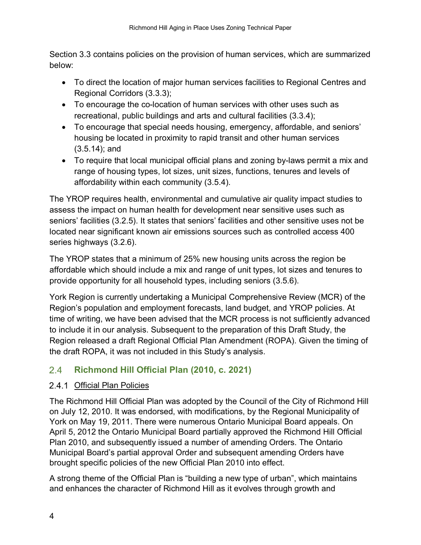Section 3.3 contains policies on the provision of human services, which are summarized below:

- To direct the location of major human services facilities to Regional Centres and Regional Corridors (3.3.3);
- To encourage the co-location of human services with other uses such as recreational, public buildings and arts and cultural facilities (3.3.4);
- To encourage that special needs housing, emergency, affordable, and seniors' housing be located in proximity to rapid transit and other human services (3.5.14); and
- To require that local municipal official plans and zoning by-laws permit a mix and range of housing types, lot sizes, unit sizes, functions, tenures and levels of affordability within each community (3.5.4).

The YROP requires health, environmental and cumulative air quality impact studies to assess the impact on human health for development near sensitive uses such as seniors' facilities (3.2.5). It states that seniors' facilities and other sensitive uses not be located near significant known air emissions sources such as controlled access 400 series highways (3.2.6).

The YROP states that a minimum of 25% new housing units across the region be affordable which should include a mix and range of unit types, lot sizes and tenures to provide opportunity for all household types, including seniors (3.5.6).

York Region is currently undertaking a Municipal Comprehensive Review (MCR) of the Region's population and employment forecasts, land budget, and YROP policies. At time of writing, we have been advised that the MCR process is not sufficiently advanced to include it in our analysis. Subsequent to the preparation of this Draft Study, the Region released a draft Regional Official Plan Amendment (ROPA). Given the timing of the draft ROPA, it was not included in this Study's analysis.

### <span id="page-7-0"></span> $2.4$ **Richmond Hill Official Plan (2010, c. 2021)**

## <span id="page-7-1"></span>2.4.1 Official Plan Policies

The Richmond Hill Official Plan was adopted by the Council of the City of Richmond Hill on July 12, 2010. It was endorsed, with modifications, by the Regional Municipality of York on May 19, 2011. There were numerous Ontario Municipal Board appeals. On April 5, 2012 the Ontario Municipal Board partially approved the Richmond Hill Official Plan 2010, and subsequently issued a number of amending Orders. The Ontario Municipal Board's partial approval Order and subsequent amending Orders have brought specific policies of the new Official Plan 2010 into effect.

A strong theme of the Official Plan is "building a new type of urban", which maintains and enhances the character of Richmond Hill as it evolves through growth and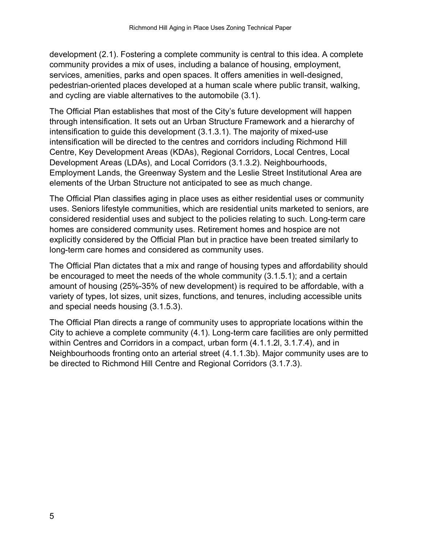development (2.1). Fostering a complete community is central to this idea. A complete community provides a mix of uses, including a balance of housing, employment, services, amenities, parks and open spaces. It offers amenities in well-designed, pedestrian-oriented places developed at a human scale where public transit, walking, and cycling are viable alternatives to the automobile (3.1).

The Official Plan establishes that most of the City's future development will happen through intensification. It sets out an Urban Structure Framework and a hierarchy of intensification to guide this development (3.1.3.1). The majority of mixed-use intensification will be directed to the centres and corridors including Richmond Hill Centre, Key Development Areas (KDAs), Regional Corridors, Local Centres, Local Development Areas (LDAs), and Local Corridors (3.1.3.2). Neighbourhoods, Employment Lands, the Greenway System and the Leslie Street Institutional Area are elements of the Urban Structure not anticipated to see as much change.

The Official Plan classifies aging in place uses as either residential uses or community uses. Seniors lifestyle communities, which are residential units marketed to seniors, are considered residential uses and subject to the policies relating to such. Long-term care homes are considered community uses. Retirement homes and hospice are not explicitly considered by the Official Plan but in practice have been treated similarly to long-term care homes and considered as community uses.

The Official Plan dictates that a mix and range of housing types and affordability should be encouraged to meet the needs of the whole community (3.1.5.1); and a certain amount of housing (25%-35% of new development) is required to be affordable, with a variety of types, lot sizes, unit sizes, functions, and tenures, including accessible units and special needs housing (3.1.5.3).

The Official Plan directs a range of community uses to appropriate locations within the City to achieve a complete community (4.1). Long-term care facilities are only permitted within Centres and Corridors in a compact, urban form (4.1.1.2l, 3.1.7.4), and in Neighbourhoods fronting onto an arterial street (4.1.1.3b). Major community uses are to be directed to Richmond Hill Centre and Regional Corridors (3.1.7.3).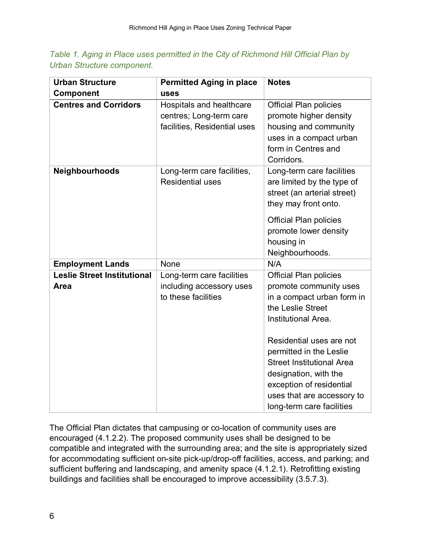|  |                            | Table 1. Aging in Place uses permitted in the City of Richmond Hill Official Plan by |  |  |  |  |
|--|----------------------------|--------------------------------------------------------------------------------------|--|--|--|--|
|  | Urban Structure component. |                                                                                      |  |  |  |  |

| <b>Urban Structure</b>                     | <b>Permitted Aging in place</b>                                                     | <b>Notes</b>                                                                                                                                                                                              |
|--------------------------------------------|-------------------------------------------------------------------------------------|-----------------------------------------------------------------------------------------------------------------------------------------------------------------------------------------------------------|
| Component                                  | uses                                                                                |                                                                                                                                                                                                           |
| <b>Centres and Corridors</b>               | Hospitals and healthcare<br>centres; Long-term care<br>facilities, Residential uses | <b>Official Plan policies</b><br>promote higher density<br>housing and community<br>uses in a compact urban<br>form in Centres and<br>Corridors.                                                          |
| Neighbourhoods                             | Long-term care facilities,<br><b>Residential uses</b>                               | Long-term care facilities<br>are limited by the type of<br>street (an arterial street)<br>they may front onto.<br><b>Official Plan policies</b><br>promote lower density<br>housing in<br>Neighbourhoods. |
| <b>Employment Lands</b>                    | None                                                                                | N/A                                                                                                                                                                                                       |
| <b>Leslie Street Institutional</b><br>Area | Long-term care facilities<br>including accessory uses<br>to these facilities        | <b>Official Plan policies</b><br>promote community uses<br>in a compact urban form in<br>the Leslie Street<br>Institutional Area.<br>Residential uses are not<br>permitted in the Leslie                  |
|                                            |                                                                                     | <b>Street Institutional Area</b><br>designation, with the<br>exception of residential<br>uses that are accessory to<br>long-term care facilities                                                          |

The Official Plan dictates that campusing or co-location of community uses are encouraged (4.1.2.2). The proposed community uses shall be designed to be compatible and integrated with the surrounding area; and the site is appropriately sized for accommodating sufficient on-site pick-up/drop-off facilities, access, and parking; and sufficient buffering and landscaping, and amenity space (4.1.2.1). Retrofitting existing buildings and facilities shall be encouraged to improve accessibility (3.5.7.3).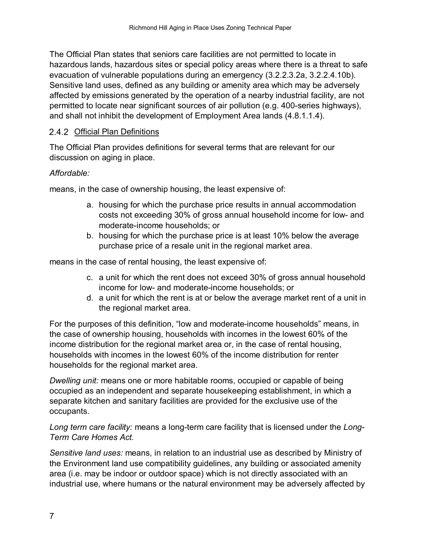The Official Plan states that seniors care facilities are not permitted to locate in hazardous lands, hazardous sites or special policy areas where there is a threat to safe evacuation of vulnerable populations during an emergency (3.2.2.3.2a, 3.2.2.4.10b). Sensitive land uses, defined as any building or amenity area which may be adversely affected by emissions generated by the operation of a nearby industrial facility, are not permitted to locate near significant sources of air pollution (e.g. 400-series highways), and shall not inhibit the development of Employment Area lands (4.8.1.1.4).

## <span id="page-10-0"></span>2.4.2 Official Plan Definitions

The Official Plan provides definitions for several terms that are relevant for our discussion on aging in place.

## *Affordable:*

means, in the case of ownership housing, the least expensive of:

- a. housing for which the purchase price results in annual accommodation costs not exceeding 30% of gross annual household income for low- and moderate-income households; or
- b. housing for which the purchase price is at least 10% below the average purchase price of a resale unit in the regional market area.

means in the case of rental housing, the least expensive of:

- c. a unit for which the rent does not exceed 30% of gross annual household income for low- and moderate-income households; or
- d. a unit for which the rent is at or below the average market rent of a unit in the regional market area.

For the purposes of this definition, "low and moderate-income households" means, in the case of ownership housing, households with incomes in the lowest 60% of the income distribution for the regional market area or, in the case of rental housing, households with incomes in the lowest 60% of the income distribution for renter households for the regional market area.

*Dwelling unit:* means one or more habitable rooms, occupied or capable of being occupied as an independent and separate housekeeping establishment, in which a separate kitchen and sanitary facilities are provided for the exclusive use of the occupants.

*Long term care facility:* means a long-term care facility that is licensed under the *Long-Term Care Homes Act.*

*Sensitive land uses:* means, in relation to an industrial use as described by Ministry of the Environment land use compatibility guidelines, any building or associated amenity area (i.e. may be indoor or outdoor space) which is not directly associated with an industrial use, where humans or the natural environment may be adversely affected by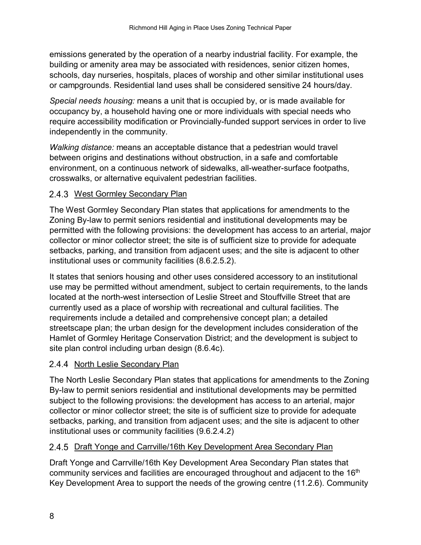emissions generated by the operation of a nearby industrial facility. For example, the building or amenity area may be associated with residences, senior citizen homes, schools, day nurseries, hospitals, places of worship and other similar institutional uses or campgrounds. Residential land uses shall be considered sensitive 24 hours/day.

*Special needs housing:* means a unit that is occupied by, or is made available for occupancy by, a household having one or more individuals with special needs who require accessibility modification or Provincially-funded support services in order to live independently in the community.

*Walking distance:* means an acceptable distance that a pedestrian would travel between origins and destinations without obstruction, in a safe and comfortable environment, on a continuous network of sidewalks, all-weather-surface footpaths, crosswalks, or alternative equivalent pedestrian facilities.

## <span id="page-11-0"></span>2.4.3 West Gormley Secondary Plan

The West Gormley Secondary Plan states that applications for amendments to the Zoning By-law to permit seniors residential and institutional developments may be permitted with the following provisions: the development has access to an arterial, major collector or minor collector street; the site is of sufficient size to provide for adequate setbacks, parking, and transition from adjacent uses; and the site is adjacent to other institutional uses or community facilities (8.6.2.5.2).

It states that seniors housing and other uses considered accessory to an institutional use may be permitted without amendment, subject to certain requirements, to the lands located at the north-west intersection of Leslie Street and Stouffville Street that are currently used as a place of worship with recreational and cultural facilities. The requirements include a detailed and comprehensive concept plan; a detailed streetscape plan; the urban design for the development includes consideration of the Hamlet of Gormley Heritage Conservation District; and the development is subject to site plan control including urban design (8.6.4c).

## <span id="page-11-1"></span>2.4.4 North Leslie Secondary Plan

The North Leslie Secondary Plan states that applications for amendments to the Zoning By-law to permit seniors residential and institutional developments may be permitted subject to the following provisions: the development has access to an arterial, major collector or minor collector street; the site is of sufficient size to provide for adequate setbacks, parking, and transition from adjacent uses; and the site is adjacent to other institutional uses or community facilities (9.6.2.4.2)

## <span id="page-11-2"></span>2.4.5 Draft Yonge and Carrville/16th Key Development Area Secondary Plan

Draft Yonge and Carrville/16th Key Development Area Secondary Plan states that community services and facilities are encouraged throughout and adjacent to the 16<sup>th</sup> Key Development Area to support the needs of the growing centre (11.2.6). Community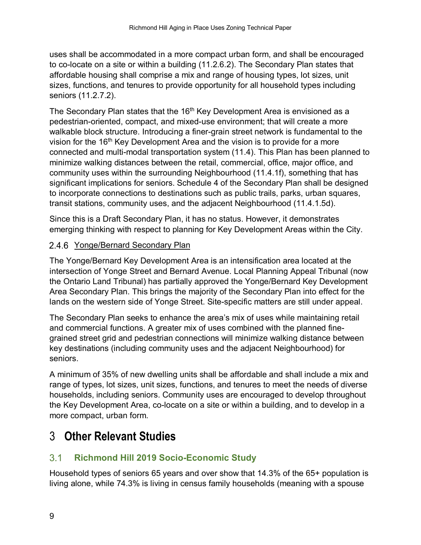uses shall be accommodated in a more compact urban form, and shall be encouraged to co-locate on a site or within a building (11.2.6.2). The Secondary Plan states that affordable housing shall comprise a mix and range of housing types, lot sizes, unit sizes, functions, and tenures to provide opportunity for all household types including seniors (11.2.7.2).

The Secondary Plan states that the 16<sup>th</sup> Key Development Area is envisioned as a pedestrian-oriented, compact, and mixed-use environment; that will create a more walkable block structure. Introducing a finer-grain street network is fundamental to the vision for the  $16<sup>th</sup>$  Key Development Area and the vision is to provide for a more connected and multi-modal transportation system (11.4). This Plan has been planned to minimize walking distances between the retail, commercial, office, major office, and community uses within the surrounding Neighbourhood (11.4.1f), something that has significant implications for seniors. Schedule 4 of the Secondary Plan shall be designed to incorporate connections to destinations such as public trails, parks, urban squares, transit stations, community uses, and the adjacent Neighbourhood (11.4.1.5d).

Since this is a Draft Secondary Plan, it has no status. However, it demonstrates emerging thinking with respect to planning for Key Development Areas within the City.

## <span id="page-12-0"></span>2.4.6 Yonge/Bernard Secondary Plan

The Yonge/Bernard Key Development Area is an intensification area located at the intersection of Yonge Street and Bernard Avenue. Local Planning Appeal Tribunal (now the Ontario Land Tribunal) has partially approved the Yonge/Bernard Key Development Area Secondary Plan. This brings the majority of the Secondary Plan into effect for the lands on the western side of Yonge Street. Site-specific matters are still under appeal.

The Secondary Plan seeks to enhance the area's mix of uses while maintaining retail and commercial functions. A greater mix of uses combined with the planned finegrained street grid and pedestrian connections will minimize walking distance between key destinations (including community uses and the adjacent Neighbourhood) for seniors.

A minimum of 35% of new dwelling units shall be affordable and shall include a mix and range of types, lot sizes, unit sizes, functions, and tenures to meet the needs of diverse households, including seniors. Community uses are encouraged to develop throughout the Key Development Area, co-locate on a site or within a building, and to develop in a more compact, urban form.

## <span id="page-12-1"></span>3 **Other Relevant Studies**

### <span id="page-12-2"></span> $3.1$ **Richmond Hill 2019 Socio-Economic Study**

Household types of seniors 65 years and over show that 14.3% of the 65+ population is living alone, while 74.3% is living in census family households (meaning with a spouse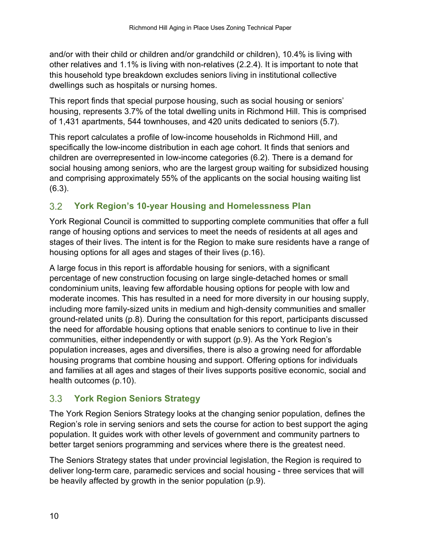and/or with their child or children and/or grandchild or children), 10.4% is living with other relatives and 1.1% is living with non-relatives (2.2.4). It is important to note that this household type breakdown excludes seniors living in institutional collective dwellings such as hospitals or nursing homes.

This report finds that special purpose housing, such as social housing or seniors' housing, represents 3.7% of the total dwelling units in Richmond Hill. This is comprised of 1,431 apartments, 544 townhouses, and 420 units dedicated to seniors (5.7).

This report calculates a profile of low-income households in Richmond Hill, and specifically the low-income distribution in each age cohort. It finds that seniors and children are overrepresented in low-income categories (6.2). There is a demand for social housing among seniors, who are the largest group waiting for subsidized housing and comprising approximately 55% of the applicants on the social housing waiting list (6.3).

### <span id="page-13-0"></span> $3.2$ **York Region's 10-year Housing and Homelessness Plan**

York Regional Council is committed to supporting complete communities that offer a full range of housing options and services to meet the needs of residents at all ages and stages of their lives. The intent is for the Region to make sure residents have a range of housing options for all ages and stages of their lives (p.16).

A large focus in this report is affordable housing for seniors, with a significant percentage of new construction focusing on large single-detached homes or small condominium units, leaving few affordable housing options for people with low and moderate incomes. This has resulted in a need for more diversity in our housing supply, including more family-sized units in medium and high-density communities and smaller ground-related units (p.8). During the consultation for this report, participants discussed the need for affordable housing options that enable seniors to continue to live in their communities, either independently or with support (p.9). As the York Region's population increases, ages and diversifies, there is also a growing need for affordable housing programs that combine housing and support. Offering options for individuals and families at all ages and stages of their lives supports positive economic, social and health outcomes (p.10).

### <span id="page-13-1"></span> $3.3$ **York Region Seniors Strategy**

The York Region Seniors Strategy looks at the changing senior population, defines the Region's role in serving seniors and sets the course for action to best support the aging population. It guides work with other levels of government and community partners to better target seniors programming and services where there is the greatest need.

The Seniors Strategy states that under provincial legislation, the Region is required to deliver long-term care, paramedic services and social housing - three services that will be heavily affected by growth in the senior population (p.9).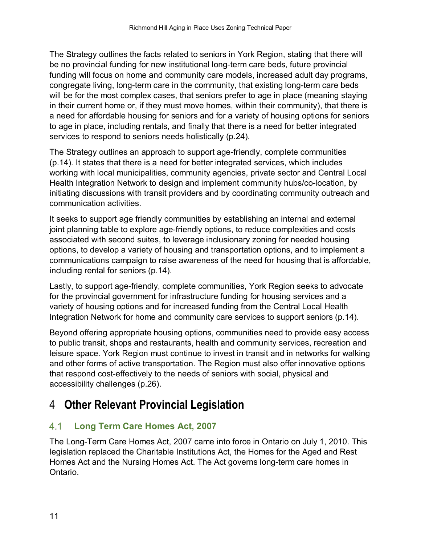The Strategy outlines the facts related to seniors in York Region, stating that there will be no provincial funding for new institutional long-term care beds, future provincial funding will focus on home and community care models, increased adult day programs, congregate living, long-term care in the community, that existing long-term care beds will be for the most complex cases, that seniors prefer to age in place (meaning staying in their current home or, if they must move homes, within their community), that there is a need for affordable housing for seniors and for a variety of housing options for seniors to age in place, including rentals, and finally that there is a need for better integrated services to respond to seniors needs holistically (p.24).

The Strategy outlines an approach to support age-friendly, complete communities (p.14). It states that there is a need for better integrated services, which includes working with local municipalities, community agencies, private sector and Central Local Health Integration Network to design and implement community hubs/co-location, by initiating discussions with transit providers and by coordinating community outreach and communication activities.

It seeks to support age friendly communities by establishing an internal and external joint planning table to explore age-friendly options, to reduce complexities and costs associated with second suites, to leverage inclusionary zoning for needed housing options, to develop a variety of housing and transportation options, and to implement a communications campaign to raise awareness of the need for housing that is affordable, including rental for seniors (p.14).

Lastly, to support age-friendly, complete communities, York Region seeks to advocate for the provincial government for infrastructure funding for housing services and a variety of housing options and for increased funding from the Central Local Health Integration Network for home and community care services to support seniors (p.14).

Beyond offering appropriate housing options, communities need to provide easy access to public transit, shops and restaurants, health and community services, recreation and leisure space. York Region must continue to invest in transit and in networks for walking and other forms of active transportation. The Region must also offer innovative options that respond cost-effectively to the needs of seniors with social, physical and accessibility challenges (p.26).

## <span id="page-14-0"></span>4 **Other Relevant Provincial Legislation**

### <span id="page-14-1"></span> $4.1$ **Long Term Care Homes Act, 2007**

The Long-Term Care Homes Act, 2007 came into force in Ontario on July 1, 2010. This legislation replaced the Charitable Institutions Act, the Homes for the Aged and Rest Homes Act and the Nursing Homes Act. The Act governs long-term care homes in Ontario.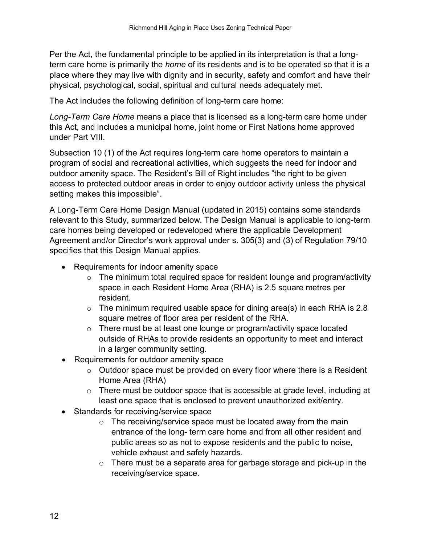Per the Act, the fundamental principle to be applied in its interpretation is that a longterm care home is primarily the *home* of its residents and is to be operated so that it is a place where they may live with dignity and in security, safety and comfort and have their physical, psychological, social, spiritual and cultural needs adequately met.

The Act includes the following definition of long-term care home:

*Long-Term Care Home* means a place that is licensed as a long-term care home under this Act, and includes a municipal home, joint home or First Nations home approved under Part VIII.

Subsection 10 (1) of the Act requires long-term care home operators to maintain a program of social and recreational activities, which suggests the need for indoor and outdoor amenity space. The Resident's Bill of Right includes "the right to be given access to protected outdoor areas in order to enjoy outdoor activity unless the physical setting makes this impossible".

A Long-Term Care Home Design Manual (updated in 2015) contains some standards relevant to this Study, summarized below. The Design Manual is applicable to long-term care homes being developed or redeveloped where the applicable Development Agreement and/or Director's work approval under s. 305(3) and (3) of Regulation 79/10 specifies that this Design Manual applies.

- Requirements for indoor amenity space
	- $\circ$  The minimum total required space for resident lounge and program/activity space in each Resident Home Area (RHA) is 2.5 square metres per resident.
	- $\circ$  The minimum required usable space for dining area(s) in each RHA is 2.8 square metres of floor area per resident of the RHA.
	- o There must be at least one lounge or program/activity space located outside of RHAs to provide residents an opportunity to meet and interact in a larger community setting.
- Requirements for outdoor amenity space
	- $\circ$  Outdoor space must be provided on every floor where there is a Resident Home Area (RHA)
	- o There must be outdoor space that is accessible at grade level, including at least one space that is enclosed to prevent unauthorized exit/entry.
- Standards for receiving/service space
	- $\circ$  The receiving/service space must be located away from the main entrance of the long- term care home and from all other resident and public areas so as not to expose residents and the public to noise, vehicle exhaust and safety hazards.
	- $\circ$  There must be a separate area for garbage storage and pick-up in the receiving/service space.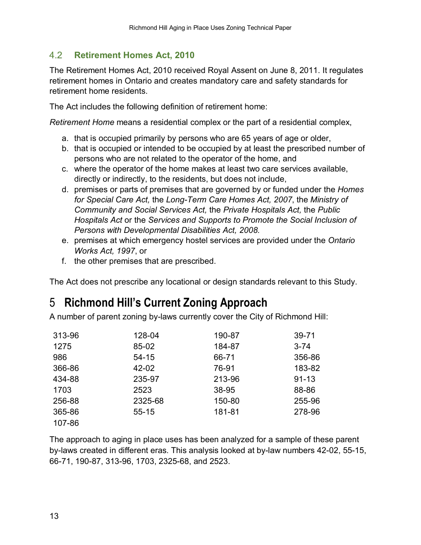#### <span id="page-16-0"></span> $4.2$ **Retirement Homes Act, 2010**

The Retirement Homes Act, 2010 received Royal Assent on June 8, 2011. It regulates retirement homes in Ontario and creates mandatory care and safety standards for retirement home residents.

The Act includes the following definition of retirement home:

*Retirement Home* means a residential complex or the part of a residential complex,

- a. that is occupied primarily by persons who are 65 years of age or older,
- b. that is occupied or intended to be occupied by at least the prescribed number of persons who are not related to the operator of the home, and
- c. where the operator of the home makes at least two care services available, directly or indirectly, to the residents, but does not include,
- d. premises or parts of premises that are governed by or funded under the *Homes for Special Care Act,* the *Long-Term Care Homes Act, 2007*, the *Ministry of Community and Social Services Act,* the *Private Hospitals Act,* the *Public Hospitals Act* or the *Services and Supports to Promote the Social Inclusion of Persons with Developmental Disabilities Act, 2008.*
- e. premises at which emergency hostel services are provided under the *Ontario Works Act, 1997*, or
- f. the other premises that are prescribed.

The Act does not prescribe any locational or design standards relevant to this Study.

## <span id="page-16-1"></span>5 **Richmond Hill's Current Zoning Approach**

A number of parent zoning by-laws currently cover the City of Richmond Hill:

| 313-96 | 128-04    | 190-87 | $39 - 71$ |
|--------|-----------|--------|-----------|
| 1275   | 85-02     | 184-87 | $3 - 74$  |
| 986    | $54 - 15$ | 66-71  | 356-86    |
| 366-86 | 42-02     | 76-91  | 183-82    |
| 434-88 | 235-97    | 213-96 | $91 - 13$ |
| 1703   | 2523      | 38-95  | 88-86     |
| 256-88 | 2325-68   | 150-80 | 255-96    |
| 365-86 | $55 - 15$ | 181-81 | 278-96    |
| 107-86 |           |        |           |

The approach to aging in place uses has been analyzed for a sample of these parent by-laws created in different eras. This analysis looked at by-law numbers 42-02, 55-15, 66-71, 190-87, 313-96, 1703, 2325-68, and 2523.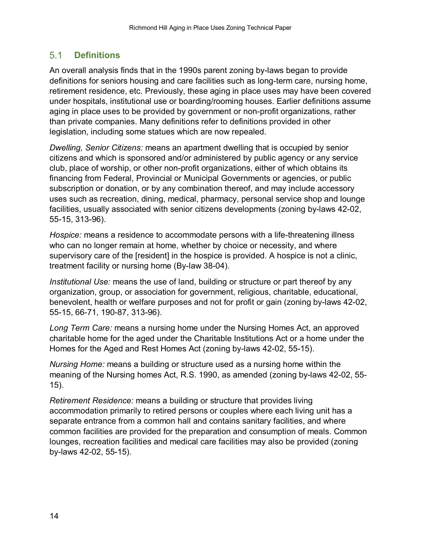#### <span id="page-17-0"></span> $5.1$ **Definitions**

An overall analysis finds that in the 1990s parent zoning by-laws began to provide definitions for seniors housing and care facilities such as long-term care, nursing home, retirement residence, etc. Previously, these aging in place uses may have been covered under hospitals, institutional use or boarding/rooming houses. Earlier definitions assume aging in place uses to be provided by government or non-profit organizations, rather than private companies. Many definitions refer to definitions provided in other legislation, including some statues which are now repealed.

*Dwelling, Senior Citizens:* means an apartment dwelling that is occupied by senior citizens and which is sponsored and/or administered by public agency or any service club, place of worship, or other non-profit organizations, either of which obtains its financing from Federal, Provincial or Municipal Governments or agencies, or public subscription or donation, or by any combination thereof, and may include accessory uses such as recreation, dining, medical, pharmacy, personal service shop and lounge facilities, usually associated with senior citizens developments (zoning by-laws 42-02, 55-15, 313-96).

*Hospice:* means a residence to accommodate persons with a life-threatening illness who can no longer remain at home, whether by choice or necessity, and where supervisory care of the [resident] in the hospice is provided. A hospice is not a clinic, treatment facility or nursing home (By-law 38-04).

*Institutional Use:* means the use of land, building or structure or part thereof by any organization, group, or association for government, religious, charitable, educational, benevolent, health or welfare purposes and not for profit or gain (zoning by-laws 42-02, 55-15, 66-71, 190-87, 313-96).

*Long Term Care:* means a nursing home under the Nursing Homes Act, an approved charitable home for the aged under the Charitable Institutions Act or a home under the Homes for the Aged and Rest Homes Act (zoning by-laws 42-02, 55-15).

*Nursing Home:* means a building or structure used as a nursing home within the meaning of the Nursing homes Act, R.S. 1990, as amended (zoning by-laws 42-02, 55- 15).

*Retirement Residence:* means a building or structure that provides living accommodation primarily to retired persons or couples where each living unit has a separate entrance from a common hall and contains sanitary facilities, and where common facilities are provided for the preparation and consumption of meals. Common lounges, recreation facilities and medical care facilities may also be provided (zoning by-laws 42-02, 55-15).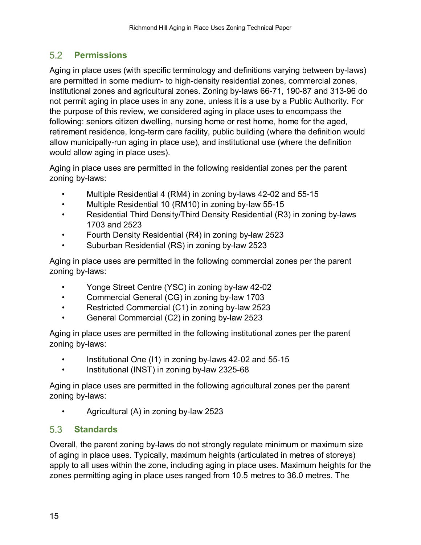### <span id="page-18-0"></span> $5.2$ **Permissions**

Aging in place uses (with specific terminology and definitions varying between by-laws) are permitted in some medium- to high-density residential zones, commercial zones, institutional zones and agricultural zones. Zoning by-laws 66-71, 190-87 and 313-96 do not permit aging in place uses in any zone, unless it is a use by a Public Authority. For the purpose of this review, we considered aging in place uses to encompass the following: seniors citizen dwelling, nursing home or rest home, home for the aged, retirement residence, long-term care facility, public building (where the definition would allow municipally-run aging in place use), and institutional use (where the definition would allow aging in place uses).

Aging in place uses are permitted in the following residential zones per the parent zoning by-laws:

- Multiple Residential 4 (RM4) in zoning by-laws 42-02 and 55-15
- Multiple Residential 10 (RM10) in zoning by-law 55-15
- Residential Third Density/Third Density Residential (R3) in zoning by-laws 1703 and 2523
- Fourth Density Residential (R4) in zoning by-law 2523
- Suburban Residential (RS) in zoning by-law 2523

Aging in place uses are permitted in the following commercial zones per the parent zoning by-laws:

- Yonge Street Centre (YSC) in zoning by-law 42-02
- Commercial General (CG) in zoning by-law 1703
- Restricted Commercial (C1) in zoning by-law 2523
- General Commercial (C2) in zoning by-law 2523

Aging in place uses are permitted in the following institutional zones per the parent zoning by-laws:

- Institutional One (I1) in zoning by-laws 42-02 and 55-15
- Institutional (INST) in zoning by-law 2325-68

Aging in place uses are permitted in the following agricultural zones per the parent zoning by-laws:

• Agricultural (A) in zoning by-law 2523

#### <span id="page-18-1"></span> $5.3$ **Standards**

Overall, the parent zoning by-laws do not strongly regulate minimum or maximum size of aging in place uses. Typically, maximum heights (articulated in metres of storeys) apply to all uses within the zone, including aging in place uses. Maximum heights for the zones permitting aging in place uses ranged from 10.5 metres to 36.0 metres. The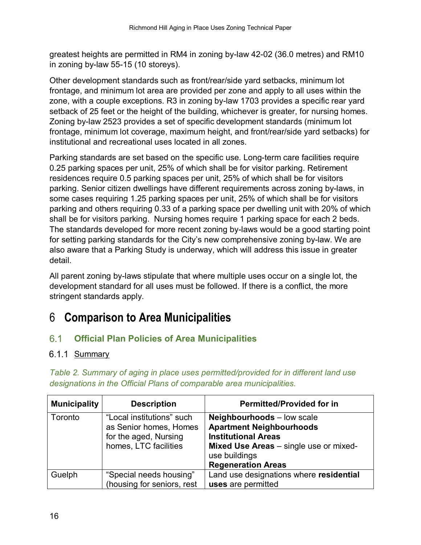greatest heights are permitted in RM4 in zoning by-law 42-02 (36.0 metres) and RM10 in zoning by-law 55-15 (10 storeys).

Other development standards such as front/rear/side yard setbacks, minimum lot frontage, and minimum lot area are provided per zone and apply to all uses within the zone, with a couple exceptions. R3 in zoning by-law 1703 provides a specific rear yard setback of 25 feet or the height of the building, whichever is greater, for nursing homes. Zoning by-law 2523 provides a set of specific development standards (minimum lot frontage, minimum lot coverage, maximum height, and front/rear/side yard setbacks) for institutional and recreational uses located in all zones.

Parking standards are set based on the specific use. Long-term care facilities require 0.25 parking spaces per unit, 25% of which shall be for visitor parking. Retirement residences require 0.5 parking spaces per unit, 25% of which shall be for visitors parking. Senior citizen dwellings have different requirements across zoning by-laws, in some cases requiring 1.25 parking spaces per unit, 25% of which shall be for visitors parking and others requiring 0.33 of a parking space per dwelling unit with 20% of which shall be for visitors parking. Nursing homes require 1 parking space for each 2 beds. The standards developed for more recent zoning by-laws would be a good starting point for setting parking standards for the City's new comprehensive zoning by-law. We are also aware that a Parking Study is underway, which will address this issue in greater detail.

All parent zoning by-laws stipulate that where multiple uses occur on a single lot, the development standard for all uses must be followed. If there is a conflict, the more stringent standards apply.

## <span id="page-19-0"></span>6 **Comparison to Area Municipalities**

### <span id="page-19-1"></span> $6.1$ **Official Plan Policies of Area Municipalities**

## <span id="page-19-2"></span>6.1.1 Summary

| <b>Municipality</b> | <b>Description</b>                                                                                    | <b>Permitted/Provided for in</b>                                                                                                                                                           |
|---------------------|-------------------------------------------------------------------------------------------------------|--------------------------------------------------------------------------------------------------------------------------------------------------------------------------------------------|
| Toronto             | "Local institutions" such<br>as Senior homes, Homes<br>for the aged, Nursing<br>homes, LTC facilities | <b>Neighbourhoods</b> – low scale<br><b>Apartment Neighbourhoods</b><br><b>Institutional Areas</b><br>Mixed Use Areas - single use or mixed-<br>use buildings<br><b>Regeneration Areas</b> |
| Guelph              | "Special needs housing"<br>(housing for seniors, rest                                                 | Land use designations where residential<br>uses are permitted                                                                                                                              |

*Table 2. Summary of aging in place uses permitted/provided for in different land use designations in the Official Plans of comparable area municipalities.*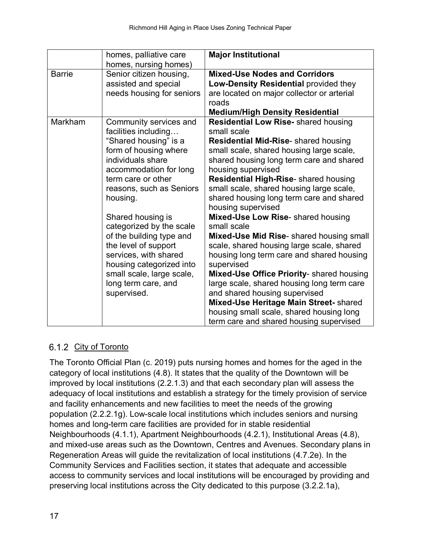|               | homes, palliative care<br>homes, nursing homes)                                                                                                                                                                                                                                                                                                                                                                                            | <b>Major Institutional</b>                                                                                                                                                                                                                                                                                                                                                                                                                                                                                                                                                                                                                                                                                                                                                                                                                           |
|---------------|--------------------------------------------------------------------------------------------------------------------------------------------------------------------------------------------------------------------------------------------------------------------------------------------------------------------------------------------------------------------------------------------------------------------------------------------|------------------------------------------------------------------------------------------------------------------------------------------------------------------------------------------------------------------------------------------------------------------------------------------------------------------------------------------------------------------------------------------------------------------------------------------------------------------------------------------------------------------------------------------------------------------------------------------------------------------------------------------------------------------------------------------------------------------------------------------------------------------------------------------------------------------------------------------------------|
| <b>Barrie</b> | Senior citizen housing,<br>assisted and special<br>needs housing for seniors                                                                                                                                                                                                                                                                                                                                                               | <b>Mixed-Use Nodes and Corridors</b><br>Low-Density Residential provided they<br>are located on major collector or arterial<br>roads<br><b>Medium/High Density Residential</b>                                                                                                                                                                                                                                                                                                                                                                                                                                                                                                                                                                                                                                                                       |
| Markham       | Community services and<br>facilities including<br>"Shared housing" is a<br>form of housing where<br>individuals share<br>accommodation for long<br>term care or other<br>reasons, such as Seniors<br>housing.<br>Shared housing is<br>categorized by the scale<br>of the building type and<br>the level of support<br>services, with shared<br>housing categorized into<br>small scale, large scale,<br>long term care, and<br>supervised. | <b>Residential Low Rise-</b> shared housing<br>small scale<br><b>Residential Mid-Rise-</b> shared housing<br>small scale, shared housing large scale,<br>shared housing long term care and shared<br>housing supervised<br>Residential High-Rise- shared housing<br>small scale, shared housing large scale,<br>shared housing long term care and shared<br>housing supervised<br>Mixed-Use Low Rise- shared housing<br>small scale<br>Mixed-Use Mid Rise- shared housing small<br>scale, shared housing large scale, shared<br>housing long term care and shared housing<br>supervised<br>Mixed-Use Office Priority- shared housing<br>large scale, shared housing long term care<br>and shared housing supervised<br>Mixed-Use Heritage Main Street- shared<br>housing small scale, shared housing long<br>term care and shared housing supervised |

## <span id="page-20-0"></span>6.1.2 City of Toronto

The Toronto Official Plan (c. 2019) puts nursing homes and homes for the aged in the category of local institutions (4.8). It states that the quality of the Downtown will be improved by local institutions (2.2.1.3) and that each secondary plan will assess the adequacy of local institutions and establish a strategy for the timely provision of service and facility enhancements and new facilities to meet the needs of the growing population (2.2.2.1g). Low-scale local institutions which includes seniors and nursing homes and long-term care facilities are provided for in stable residential Neighbourhoods (4.1.1), Apartment Neighbourhoods (4.2.1), Institutional Areas (4.8), and mixed-use areas such as the Downtown, Centres and Avenues. Secondary plans in Regeneration Areas will guide the revitalization of local institutions (4.7.2e). In the Community Services and Facilities section, it states that adequate and accessible access to community services and local institutions will be encouraged by providing and preserving local institutions across the City dedicated to this purpose (3.2.2.1a),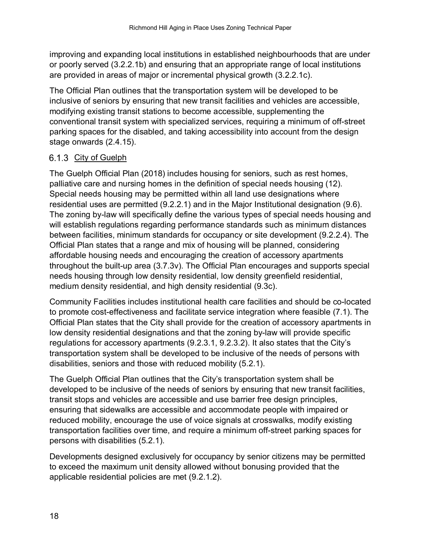improving and expanding local institutions in established neighbourhoods that are under or poorly served (3.2.2.1b) and ensuring that an appropriate range of local institutions are provided in areas of major or incremental physical growth (3.2.2.1c).

The Official Plan outlines that the transportation system will be developed to be inclusive of seniors by ensuring that new transit facilities and vehicles are accessible, modifying existing transit stations to become accessible, supplementing the conventional transit system with specialized services, requiring a minimum of off-street parking spaces for the disabled, and taking accessibility into account from the design stage onwards (2.4.15).

## <span id="page-21-0"></span>6.1.3 City of Guelph

The Guelph Official Plan (2018) includes housing for seniors, such as rest homes, palliative care and nursing homes in the definition of special needs housing (12). Special needs housing may be permitted within all land use designations where residential uses are permitted (9.2.2.1) and in the Major Institutional designation (9.6). The zoning by-law will specifically define the various types of special needs housing and will establish regulations regarding performance standards such as minimum distances between facilities, minimum standards for occupancy or site development (9.2.2.4). The Official Plan states that a range and mix of housing will be planned, considering affordable housing needs and encouraging the creation of accessory apartments throughout the built-up area (3.7.3v). The Official Plan encourages and supports special needs housing through low density residential, low density greenfield residential, medium density residential, and high density residential (9.3c).

Community Facilities includes institutional health care facilities and should be co-located to promote cost-effectiveness and facilitate service integration where feasible (7.1). The Official Plan states that the City shall provide for the creation of accessory apartments in low density residential designations and that the zoning by-law will provide specific regulations for accessory apartments (9.2.3.1, 9.2.3.2). It also states that the City's transportation system shall be developed to be inclusive of the needs of persons with disabilities, seniors and those with reduced mobility (5.2.1).

The Guelph Official Plan outlines that the City's transportation system shall be developed to be inclusive of the needs of seniors by ensuring that new transit facilities, transit stops and vehicles are accessible and use barrier free design principles, ensuring that sidewalks are accessible and accommodate people with impaired or reduced mobility, encourage the use of voice signals at crosswalks, modify existing transportation facilities over time, and require a minimum off-street parking spaces for persons with disabilities (5.2.1).

Developments designed exclusively for occupancy by senior citizens may be permitted to exceed the maximum unit density allowed without bonusing provided that the applicable residential policies are met (9.2.1.2).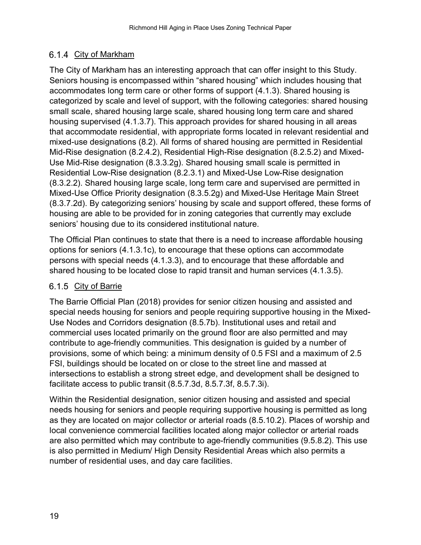## <span id="page-22-0"></span>6.1.4 City of Markham

The City of Markham has an interesting approach that can offer insight to this Study. Seniors housing is encompassed within "shared housing" which includes housing that accommodates long term care or other forms of support (4.1.3). Shared housing is categorized by scale and level of support, with the following categories: shared housing small scale, shared housing large scale, shared housing long term care and shared housing supervised (4.1.3.7). This approach provides for shared housing in all areas that accommodate residential, with appropriate forms located in relevant residential and mixed-use designations (8.2). All forms of shared housing are permitted in Residential Mid-Rise designation (8.2.4.2), Residential High-Rise designation (8.2.5.2) and Mixed-Use Mid-Rise designation (8.3.3.2g). Shared housing small scale is permitted in Residential Low-Rise designation (8.2.3.1) and Mixed-Use Low-Rise designation (8.3.2.2). Shared housing large scale, long term care and supervised are permitted in Mixed-Use Office Priority designation (8.3.5.2g) and Mixed-Use Heritage Main Street (8.3.7.2d). By categorizing seniors' housing by scale and support offered, these forms of housing are able to be provided for in zoning categories that currently may exclude seniors' housing due to its considered institutional nature.

The Official Plan continues to state that there is a need to increase affordable housing options for seniors (4.1.3.1c), to encourage that these options can accommodate persons with special needs (4.1.3.3), and to encourage that these affordable and shared housing to be located close to rapid transit and human services (4.1.3.5).

## <span id="page-22-1"></span>6.1.5 City of Barrie

The Barrie Official Plan (2018) provides for senior citizen housing and assisted and special needs housing for seniors and people requiring supportive housing in the Mixed-Use Nodes and Corridors designation (8.5.7b). Institutional uses and retail and commercial uses located primarily on the ground floor are also permitted and may contribute to age-friendly communities. This designation is guided by a number of provisions, some of which being: a minimum density of 0.5 FSI and a maximum of 2.5 FSI, buildings should be located on or close to the street line and massed at intersections to establish a strong street edge, and development shall be designed to facilitate access to public transit (8.5.7.3d, 8.5.7.3f, 8.5.7.3i).

Within the Residential designation, senior citizen housing and assisted and special needs housing for seniors and people requiring supportive housing is permitted as long as they are located on major collector or arterial roads (8.5.10.2). Places of worship and local convenience commercial facilities located along major collector or arterial roads are also permitted which may contribute to age-friendly communities (9.5.8.2). This use is also permitted in Medium/ High Density Residential Areas which also permits a number of residential uses, and day care facilities.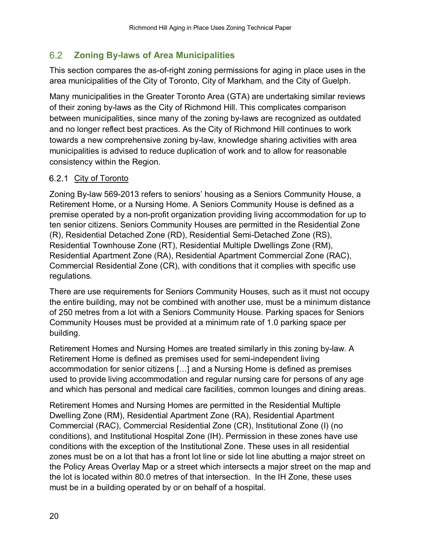### <span id="page-23-0"></span> $6.2$ **Zoning By-laws of Area Municipalities**

This section compares the as-of-right zoning permissions for aging in place uses in the area municipalities of the City of Toronto, City of Markham, and the City of Guelph.

Many municipalities in the Greater Toronto Area (GTA) are undertaking similar reviews of their zoning by-laws as the City of Richmond Hill. This complicates comparison between municipalities, since many of the zoning by-laws are recognized as outdated and no longer reflect best practices. As the City of Richmond Hill continues to work towards a new comprehensive zoning by-law, knowledge sharing activities with area municipalities is advised to reduce duplication of work and to allow for reasonable consistency within the Region.

## <span id="page-23-1"></span>6.2.1 City of Toronto

Zoning By-law 569-2013 refers to seniors' housing as a Seniors Community House, a Retirement Home, or a Nursing Home. A Seniors Community House is defined as a premise operated by a non-profit organization providing living accommodation for up to ten senior citizens. Seniors Community Houses are permitted in the Residential Zone (R), Residential Detached Zone (RD), Residential Semi-Detached Zone (RS), Residential Townhouse Zone (RT), Residential Multiple Dwellings Zone (RM), Residential Apartment Zone (RA), Residential Apartment Commercial Zone (RAC), Commercial Residential Zone (CR), with conditions that it complies with specific use regulations.

There are use requirements for Seniors Community Houses, such as it must not occupy the entire building, may not be combined with another use, must be a minimum distance of 250 metres from a lot with a Seniors Community House. Parking spaces for Seniors Community Houses must be provided at a minimum rate of 1.0 parking space per building.

Retirement Homes and Nursing Homes are treated similarly in this zoning by-law. A Retirement Home is defined as premises used for semi-independent living accommodation for senior citizens […] and a Nursing Home is defined as premises used to provide living accommodation and regular nursing care for persons of any age and which has personal and medical care facilities, common lounges and dining areas.

Retirement Homes and Nursing Homes are permitted in the Residential Multiple Dwelling Zone (RM), Residential Apartment Zone (RA), Residential Apartment Commercial (RAC), Commercial Residential Zone (CR), Institutional Zone (I) (no conditions), and Institutional Hospital Zone (IH). Permission in these zones have use conditions with the exception of the Institutional Zone. These uses in all residential zones must be on a lot that has a front lot line or side lot line abutting a major street on the Policy Areas Overlay Map or a street which intersects a major street on the map and the lot is located within 80.0 metres of that intersection. In the IH Zone, these uses must be in a building operated by or on behalf of a hospital.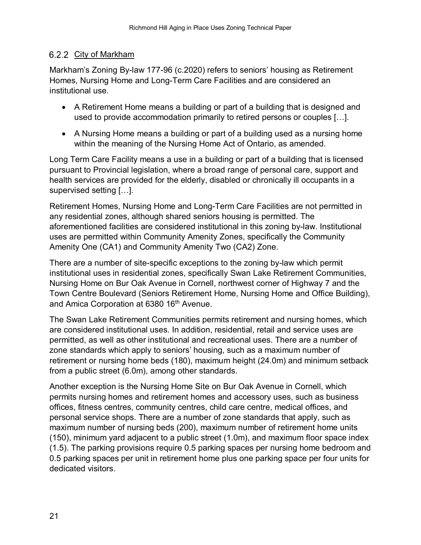## <span id="page-24-0"></span>6.2.2 City of Markham

Markham's Zoning By-law 177-96 (c.2020) refers to seniors' housing as Retirement Homes, Nursing Home and Long-Term Care Facilities and are considered an institutional use.

- A Retirement Home means a building or part of a building that is designed and used to provide accommodation primarily to retired persons or couples […].
- A Nursing Home means a building or part of a building used as a nursing home within the meaning of the Nursing Home Act of Ontario, as amended.

Long Term Care Facility means a use in a building or part of a building that is licensed pursuant to Provincial legislation, where a broad range of personal care, support and health services are provided for the elderly, disabled or chronically ill occupants in a supervised setting […].

Retirement Homes, Nursing Home and Long-Term Care Facilities are not permitted in any residential zones, although shared seniors housing is permitted. The aforementioned facilities are considered institutional in this zoning by-law. Institutional uses are permitted within Community Amenity Zones, specifically the Community Amenity One (CA1) and Community Amenity Two (CA2) Zone.

There are a number of site-specific exceptions to the zoning by-law which permit institutional uses in residential zones, specifically Swan Lake Retirement Communities, Nursing Home on Bur Oak Avenue in Cornell, northwest corner of Highway 7 and the Town Centre Boulevard (Seniors Retirement Home, Nursing Home and Office Building), and Amica Corporation at 6380 16<sup>th</sup> Avenue.

The Swan Lake Retirement Communities permits retirement and nursing homes, which are considered institutional uses. In addition, residential, retail and service uses are permitted, as well as other institutional and recreational uses. There are a number of zone standards which apply to seniors' housing, such as a maximum number of retirement or nursing home beds (180), maximum height (24.0m) and minimum setback from a public street (6.0m), among other standards.

Another exception is the Nursing Home Site on Bur Oak Avenue in Cornell, which permits nursing homes and retirement homes and accessory uses, such as business offices, fitness centres, community centres, child care centre, medical offices, and personal service shops. There are a number of zone standards that apply, such as maximum number of nursing beds (200), maximum number of retirement home units (150), minimum yard adjacent to a public street (1.0m), and maximum floor space index (1.5). The parking provisions require 0.5 parking spaces per nursing home bedroom and 0.5 parking spaces per unit in retirement home plus one parking space per four units for dedicated visitors.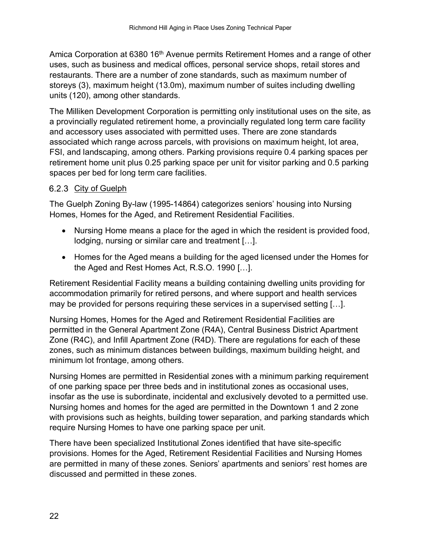Amica Corporation at 6380 16<sup>th</sup> Avenue permits Retirement Homes and a range of other uses, such as business and medical offices, personal service shops, retail stores and restaurants. There are a number of zone standards, such as maximum number of storeys (3), maximum height (13.0m), maximum number of suites including dwelling units (120), among other standards.

The Milliken Development Corporation is permitting only institutional uses on the site, as a provincially regulated retirement home, a provincially regulated long term care facility and accessory uses associated with permitted uses. There are zone standards associated which range across parcels, with provisions on maximum height, lot area, FSI, and landscaping, among others. Parking provisions require 0.4 parking spaces per retirement home unit plus 0.25 parking space per unit for visitor parking and 0.5 parking spaces per bed for long term care facilities.

## <span id="page-25-0"></span>6.2.3 City of Guelph

The Guelph Zoning By-law (1995-14864) categorizes seniors' housing into Nursing Homes, Homes for the Aged, and Retirement Residential Facilities.

- Nursing Home means a place for the aged in which the resident is provided food, lodging, nursing or similar care and treatment […].
- Homes for the Aged means a building for the aged licensed under the Homes for the Aged and Rest Homes Act, R.S.O. 1990 […].

Retirement Residential Facility means a building containing dwelling units providing for accommodation primarily for retired persons, and where support and health services may be provided for persons requiring these services in a supervised setting […].

Nursing Homes, Homes for the Aged and Retirement Residential Facilities are permitted in the General Apartment Zone (R4A), Central Business District Apartment Zone (R4C), and Infill Apartment Zone (R4D). There are regulations for each of these zones, such as minimum distances between buildings, maximum building height, and minimum lot frontage, among others.

Nursing Homes are permitted in Residential zones with a minimum parking requirement of one parking space per three beds and in institutional zones as occasional uses, insofar as the use is subordinate, incidental and exclusively devoted to a permitted use. Nursing homes and homes for the aged are permitted in the Downtown 1 and 2 zone with provisions such as heights, building tower separation, and parking standards which require Nursing Homes to have one parking space per unit.

There have been specialized Institutional Zones identified that have site-specific provisions. Homes for the Aged, Retirement Residential Facilities and Nursing Homes are permitted in many of these zones. Seniors' apartments and seniors' rest homes are discussed and permitted in these zones.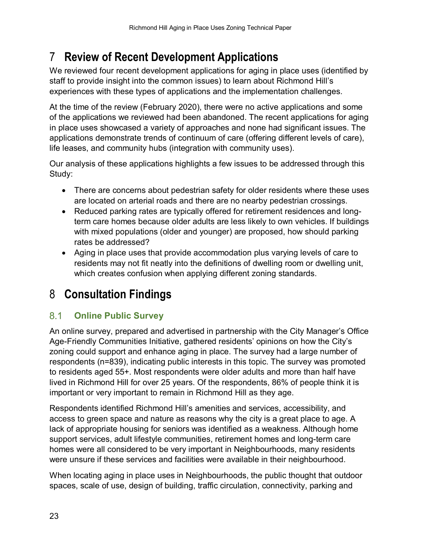## <span id="page-26-0"></span>7 **Review of Recent Development Applications**

We reviewed four recent development applications for aging in place uses (identified by staff to provide insight into the common issues) to learn about Richmond Hill's experiences with these types of applications and the implementation challenges.

At the time of the review (February 2020), there were no active applications and some of the applications we reviewed had been abandoned. The recent applications for aging in place uses showcased a variety of approaches and none had significant issues. The applications demonstrate trends of continuum of care (offering different levels of care), life leases, and community hubs (integration with community uses).

Our analysis of these applications highlights a few issues to be addressed through this Study:

- There are concerns about pedestrian safety for older residents where these uses are located on arterial roads and there are no nearby pedestrian crossings.
- Reduced parking rates are typically offered for retirement residences and longterm care homes because older adults are less likely to own vehicles. If buildings with mixed populations (older and younger) are proposed, how should parking rates be addressed?
- Aging in place uses that provide accommodation plus varying levels of care to residents may not fit neatly into the definitions of dwelling room or dwelling unit, which creates confusion when applying different zoning standards.

## <span id="page-26-1"></span>8 **Consultation Findings**

### <span id="page-26-2"></span> $8.1$ **Online Public Survey**

An online survey, prepared and advertised in partnership with the City Manager's Office Age-Friendly Communities Initiative, gathered residents' opinions on how the City's zoning could support and enhance aging in place. The survey had a large number of respondents (n=839), indicating public interests in this topic. The survey was promoted to residents aged 55+. Most respondents were older adults and more than half have lived in Richmond Hill for over 25 years. Of the respondents, 86% of people think it is important or very important to remain in Richmond Hill as they age.

Respondents identified Richmond Hill's amenities and services, accessibility, and access to green space and nature as reasons why the city is a great place to age. A lack of appropriate housing for seniors was identified as a weakness. Although home support services, adult lifestyle communities, retirement homes and long-term care homes were all considered to be very important in Neighbourhoods, many residents were unsure if these services and facilities were available in their neighbourhood.

When locating aging in place uses in Neighbourhoods, the public thought that outdoor spaces, scale of use, design of building, traffic circulation, connectivity, parking and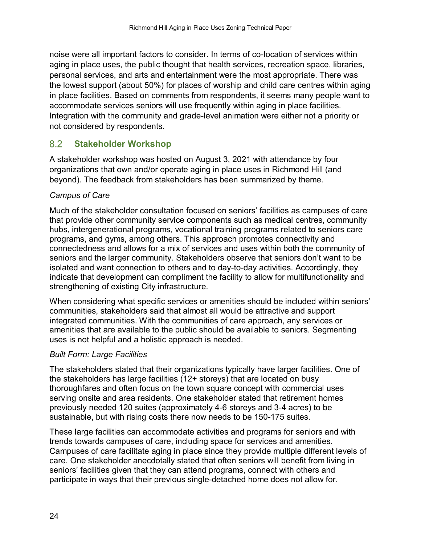noise were all important factors to consider. In terms of co-location of services within aging in place uses, the public thought that health services, recreation space, libraries, personal services, and arts and entertainment were the most appropriate. There was the lowest support (about 50%) for places of worship and child care centres within aging in place facilities. Based on comments from respondents, it seems many people want to accommodate services seniors will use frequently within aging in place facilities. Integration with the community and grade-level animation were either not a priority or not considered by respondents.

#### <span id="page-27-0"></span>8.2 **Stakeholder Workshop**

A stakeholder workshop was hosted on August 3, 2021 with attendance by four organizations that own and/or operate aging in place uses in Richmond Hill (and beyond). The feedback from stakeholders has been summarized by theme.

## *Campus of Care*

Much of the stakeholder consultation focused on seniors' facilities as campuses of care that provide other community service components such as medical centres, community hubs, intergenerational programs, vocational training programs related to seniors care programs, and gyms, among others. This approach promotes connectivity and connectedness and allows for a mix of services and uses within both the community of seniors and the larger community. Stakeholders observe that seniors don't want to be isolated and want connection to others and to day-to-day activities. Accordingly, they indicate that development can compliment the facility to allow for multifunctionality and strengthening of existing City infrastructure.

When considering what specific services or amenities should be included within seniors' communities, stakeholders said that almost all would be attractive and support integrated communities. With the communities of care approach, any services or amenities that are available to the public should be available to seniors. Segmenting uses is not helpful and a holistic approach is needed.

## *Built Form: Large Facilities*

The stakeholders stated that their organizations typically have larger facilities. One of the stakeholders has large facilities (12+ storeys) that are located on busy thoroughfares and often focus on the town square concept with commercial uses serving onsite and area residents. One stakeholder stated that retirement homes previously needed 120 suites (approximately 4-6 storeys and 3-4 acres) to be sustainable, but with rising costs there now needs to be 150-175 suites.

These large facilities can accommodate activities and programs for seniors and with trends towards campuses of care, including space for services and amenities. Campuses of care facilitate aging in place since they provide multiple different levels of care. One stakeholder anecdotally stated that often seniors will benefit from living in seniors' facilities given that they can attend programs, connect with others and participate in ways that their previous single-detached home does not allow for.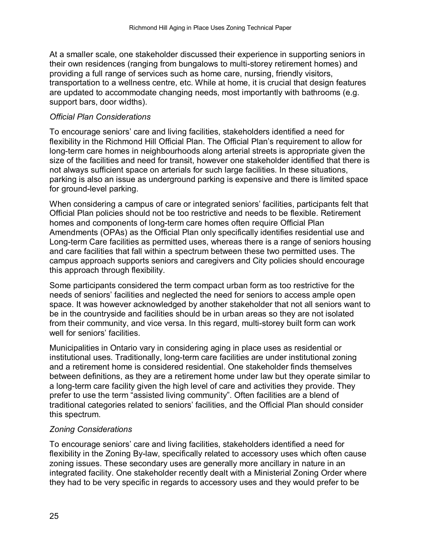At a smaller scale, one stakeholder discussed their experience in supporting seniors in their own residences (ranging from bungalows to multi-storey retirement homes) and providing a full range of services such as home care, nursing, friendly visitors, transportation to a wellness centre, etc. While at home, it is crucial that design features are updated to accommodate changing needs, most importantly with bathrooms (e.g. support bars, door widths).

### *Official Plan Considerations*

To encourage seniors' care and living facilities, stakeholders identified a need for flexibility in the Richmond Hill Official Plan. The Official Plan's requirement to allow for long-term care homes in neighbourhoods along arterial streets is appropriate given the size of the facilities and need for transit, however one stakeholder identified that there is not always sufficient space on arterials for such large facilities. In these situations, parking is also an issue as underground parking is expensive and there is limited space for ground-level parking.

When considering a campus of care or integrated seniors' facilities, participants felt that Official Plan policies should not be too restrictive and needs to be flexible. Retirement homes and components of long-term care homes often require Official Plan Amendments (OPAs) as the Official Plan only specifically identifies residential use and Long-term Care facilities as permitted uses, whereas there is a range of seniors housing and care facilities that fall within a spectrum between these two permitted uses. The campus approach supports seniors and caregivers and City policies should encourage this approach through flexibility.

Some participants considered the term compact urban form as too restrictive for the needs of seniors' facilities and neglected the need for seniors to access ample open space. It was however acknowledged by another stakeholder that not all seniors want to be in the countryside and facilities should be in urban areas so they are not isolated from their community, and vice versa. In this regard, multi-storey built form can work well for seniors' facilities.

Municipalities in Ontario vary in considering aging in place uses as residential or institutional uses. Traditionally, long-term care facilities are under institutional zoning and a retirement home is considered residential. One stakeholder finds themselves between definitions, as they are a retirement home under law but they operate similar to a long-term care facility given the high level of care and activities they provide. They prefer to use the term "assisted living community". Often facilities are a blend of traditional categories related to seniors' facilities, and the Official Plan should consider this spectrum.

## *Zoning Considerations*

To encourage seniors' care and living facilities, stakeholders identified a need for flexibility in the Zoning By-law, specifically related to accessory uses which often cause zoning issues. These secondary uses are generally more ancillary in nature in an integrated facility. One stakeholder recently dealt with a Ministerial Zoning Order where they had to be very specific in regards to accessory uses and they would prefer to be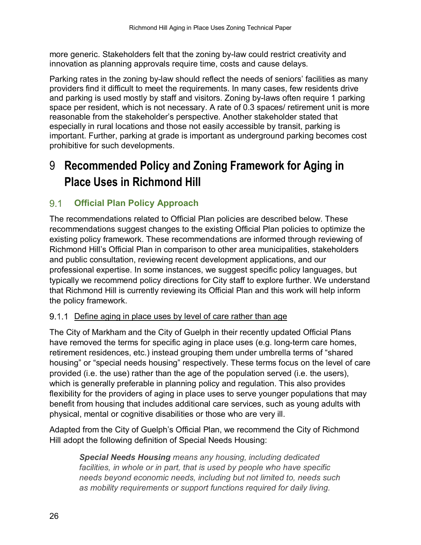more generic. Stakeholders felt that the zoning by-law could restrict creativity and innovation as planning approvals require time, costs and cause delays.

Parking rates in the zoning by-law should reflect the needs of seniors' facilities as many providers find it difficult to meet the requirements. In many cases, few residents drive and parking is used mostly by staff and visitors. Zoning by-laws often require 1 parking space per resident, which is not necessary. A rate of 0.3 spaces/ retirement unit is more reasonable from the stakeholder's perspective. Another stakeholder stated that especially in rural locations and those not easily accessible by transit, parking is important. Further, parking at grade is important as underground parking becomes cost prohibitive for such developments.

## <span id="page-29-0"></span>9 **Recommended Policy and Zoning Framework for Aging in Place Uses in Richmond Hill**

### <span id="page-29-1"></span> $9.1$ **Official Plan Policy Approach**

The recommendations related to Official Plan policies are described below. These recommendations suggest changes to the existing Official Plan policies to optimize the existing policy framework. These recommendations are informed through reviewing of Richmond Hill's Official Plan in comparison to other area municipalities, stakeholders and public consultation, reviewing recent development applications, and our professional expertise. In some instances, we suggest specific policy languages, but typically we recommend policy directions for City staff to explore further. We understand that Richmond Hill is currently reviewing its Official Plan and this work will help inform the policy framework.

## <span id="page-29-2"></span>9.1.1 Define aging in place uses by level of care rather than age

The City of Markham and the City of Guelph in their recently updated Official Plans have removed the terms for specific aging in place uses (e.g. long-term care homes, retirement residences, etc.) instead grouping them under umbrella terms of "shared housing" or "special needs housing" respectively. These terms focus on the level of care provided (i.e. the use) rather than the age of the population served (i.e. the users), which is generally preferable in planning policy and regulation. This also provides flexibility for the providers of aging in place uses to serve younger populations that may benefit from housing that includes additional care services, such as young adults with physical, mental or cognitive disabilities or those who are very ill.

Adapted from the City of Guelph's Official Plan, we recommend the City of Richmond Hill adopt the following definition of Special Needs Housing:

*Special Needs Housing means any housing, including dedicated facilities, in whole or in part, that is used by people who have specific needs beyond economic needs, including but not limited to, needs such as mobility requirements or support functions required for daily living.*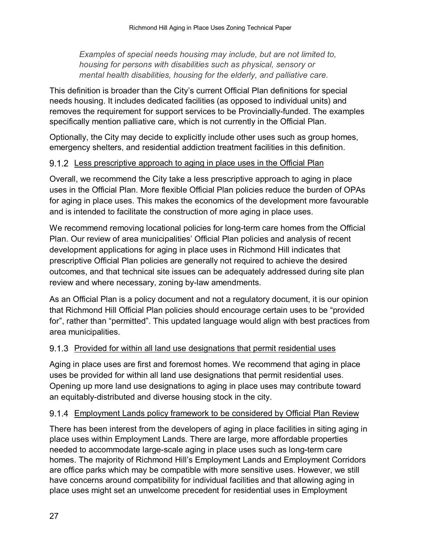*Examples of special needs housing may include, but are not limited to, housing for persons with disabilities such as physical, sensory or mental health disabilities, housing for the elderly, and palliative care.* 

This definition is broader than the City's current Official Plan definitions for special needs housing. It includes dedicated facilities (as opposed to individual units) and removes the requirement for support services to be Provincially-funded. The examples specifically mention palliative care, which is not currently in the Official Plan.

Optionally, the City may decide to explicitly include other uses such as group homes, emergency shelters, and residential addiction treatment facilities in this definition.

### <span id="page-30-0"></span>9.1.2 Less prescriptive approach to aging in place uses in the Official Plan

Overall, we recommend the City take a less prescriptive approach to aging in place uses in the Official Plan. More flexible Official Plan policies reduce the burden of OPAs for aging in place uses. This makes the economics of the development more favourable and is intended to facilitate the construction of more aging in place uses.

We recommend removing locational policies for long-term care homes from the Official Plan. Our review of area municipalities' Official Plan policies and analysis of recent development applications for aging in place uses in Richmond Hill indicates that prescriptive Official Plan policies are generally not required to achieve the desired outcomes, and that technical site issues can be adequately addressed during site plan review and where necessary, zoning by-law amendments.

As an Official Plan is a policy document and not a regulatory document, it is our opinion that Richmond Hill Official Plan policies should encourage certain uses to be "provided for", rather than "permitted". This updated language would align with best practices from area municipalities.

## <span id="page-30-1"></span>9.1.3 Provided for within all land use designations that permit residential uses

Aging in place uses are first and foremost homes. We recommend that aging in place uses be provided for within all land use designations that permit residential uses. Opening up more land use designations to aging in place uses may contribute toward an equitably-distributed and diverse housing stock in the city.

## <span id="page-30-2"></span>9.1.4 Employment Lands policy framework to be considered by Official Plan Review

There has been interest from the developers of aging in place facilities in siting aging in place uses within Employment Lands. There are large, more affordable properties needed to accommodate large-scale aging in place uses such as long-term care homes. The majority of Richmond Hill's Employment Lands and Employment Corridors are office parks which may be compatible with more sensitive uses. However, we still have concerns around compatibility for individual facilities and that allowing aging in place uses might set an unwelcome precedent for residential uses in Employment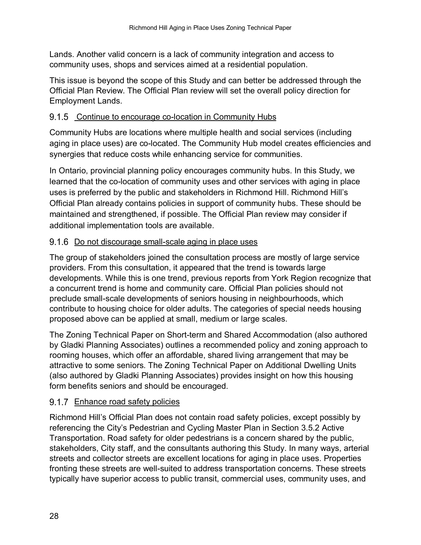Lands. Another valid concern is a lack of community integration and access to community uses, shops and services aimed at a residential population.

This issue is beyond the scope of this Study and can better be addressed through the Official Plan Review. The Official Plan review will set the overall policy direction for Employment Lands.

## <span id="page-31-0"></span>9.1.5 Continue to encourage co-location in Community Hubs

Community Hubs are locations where multiple health and social services (including aging in place uses) are co-located. The Community Hub model creates efficiencies and synergies that reduce costs while enhancing service for communities.

In Ontario, provincial planning policy encourages community hubs. In this Study, we learned that the co-location of community uses and other services with aging in place uses is preferred by the public and stakeholders in Richmond Hill. Richmond Hill's Official Plan already contains policies in support of community hubs. These should be maintained and strengthened, if possible. The Official Plan review may consider if additional implementation tools are available.

## <span id="page-31-1"></span>9.1.6 Do not discourage small-scale aging in place uses

The group of stakeholders joined the consultation process are mostly of large service providers. From this consultation, it appeared that the trend is towards large developments. While this is one trend, previous reports from York Region recognize that a concurrent trend is home and community care. Official Plan policies should not preclude small-scale developments of seniors housing in neighbourhoods, which contribute to housing choice for older adults. The categories of special needs housing proposed above can be applied at small, medium or large scales.

The Zoning Technical Paper on Short-term and Shared Accommodation (also authored by Gladki Planning Associates) outlines a recommended policy and zoning approach to rooming houses, which offer an affordable, shared living arrangement that may be attractive to some seniors. The Zoning Technical Paper on Additional Dwelling Units (also authored by Gladki Planning Associates) provides insight on how this housing form benefits seniors and should be encouraged.

## <span id="page-31-2"></span>9.1.7 Enhance road safety policies

Richmond Hill's Official Plan does not contain road safety policies, except possibly by referencing the City's Pedestrian and Cycling Master Plan in Section 3.5.2 Active Transportation. Road safety for older pedestrians is a concern shared by the public, stakeholders, City staff, and the consultants authoring this Study. In many ways, arterial streets and collector streets are excellent locations for aging in place uses. Properties fronting these streets are well-suited to address transportation concerns. These streets typically have superior access to public transit, commercial uses, community uses, and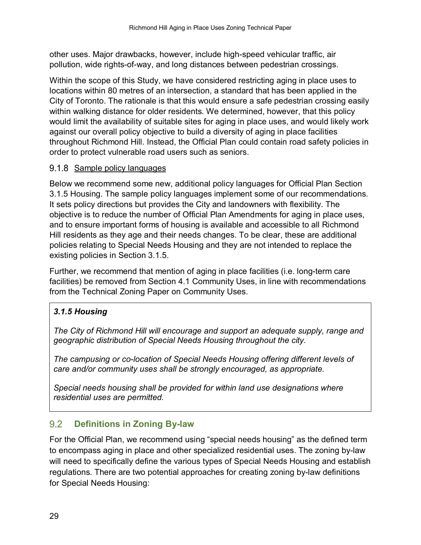other uses. Major drawbacks, however, include high-speed vehicular traffic, air pollution, wide rights-of-way, and long distances between pedestrian crossings.

Within the scope of this Study, we have considered restricting aging in place uses to locations within 80 metres of an intersection, a standard that has been applied in the City of Toronto. The rationale is that this would ensure a safe pedestrian crossing easily within walking distance for older residents. We determined, however, that this policy would limit the availability of suitable sites for aging in place uses, and would likely work against our overall policy objective to build a diversity of aging in place facilities throughout Richmond Hill. Instead, the Official Plan could contain road safety policies in order to protect vulnerable road users such as seniors.

## <span id="page-32-0"></span>9.1.8 Sample policy languages

Below we recommend some new, additional policy languages for Official Plan Section 3.1.5 Housing. The sample policy languages implement some of our recommendations. It sets policy directions but provides the City and landowners with flexibility. The objective is to reduce the number of Official Plan Amendments for aging in place uses, and to ensure important forms of housing is available and accessible to all Richmond Hill residents as they age and their needs changes. To be clear, these are additional policies relating to Special Needs Housing and they are not intended to replace the existing policies in Section 3.1.5.

Further, we recommend that mention of aging in place facilities (i.e. long-term care facilities) be removed from Section 4.1 Community Uses, in line with recommendations from the Technical Zoning Paper on Community Uses.

## *3.1.5 Housing*

*The City of Richmond Hill will encourage and support an adequate supply, range and geographic distribution of Special Needs Housing throughout the city.*

*The campusing or co-location of Special Needs Housing offering different levels of care and/or community uses shall be strongly encouraged, as appropriate.* 

*Special needs housing shall be provided for within land use designations where residential uses are permitted.*

#### <span id="page-32-1"></span> $9.2$ **Definitions in Zoning By-law**

For the Official Plan, we recommend using "special needs housing" as the defined term to encompass aging in place and other specialized residential uses. The zoning by-law will need to specifically define the various types of Special Needs Housing and establish regulations. There are two potential approaches for creating zoning by-law definitions for Special Needs Housing: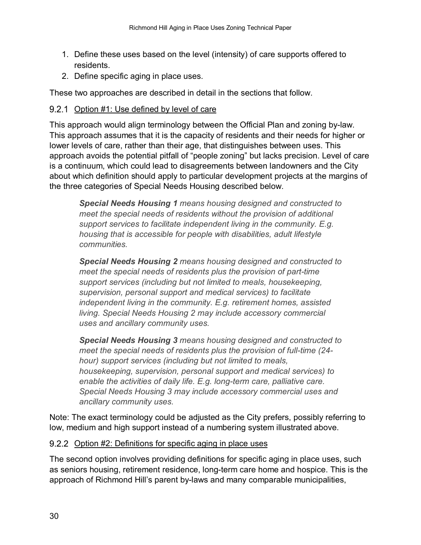- 1. Define these uses based on the level (intensity) of care supports offered to residents.
- 2. Define specific aging in place uses.

These two approaches are described in detail in the sections that follow.

## <span id="page-33-0"></span>9.2.1 Option #1: Use defined by level of care

This approach would align terminology between the Official Plan and zoning by-law. This approach assumes that it is the capacity of residents and their needs for higher or lower levels of care, rather than their age, that distinguishes between uses. This approach avoids the potential pitfall of "people zoning" but lacks precision. Level of care is a continuum, which could lead to disagreements between landowners and the City about which definition should apply to particular development projects at the margins of the three categories of Special Needs Housing described below.

*Special Needs Housing 1 means housing designed and constructed to meet the special needs of residents without the provision of additional support services to facilitate independent living in the community. E.g. housing that is accessible for people with disabilities, adult lifestyle communities.*

*Special Needs Housing 2 means housing designed and constructed to meet the special needs of residents plus the provision of part-time support services (including but not limited to meals, housekeeping, supervision, personal support and medical services) to facilitate independent living in the community. E.g. retirement homes, assisted living. Special Needs Housing 2 may include accessory commercial uses and ancillary community uses.* 

*Special Needs Housing 3 means housing designed and constructed to meet the special needs of residents plus the provision of full-time (24 hour) support services (including but not limited to meals, housekeeping, supervision, personal support and medical services) to enable the activities of daily life. E.g. long-term care, palliative care. Special Needs Housing 3 may include accessory commercial uses and ancillary community uses.* 

Note: The exact terminology could be adjusted as the City prefers, possibly referring to low, medium and high support instead of a numbering system illustrated above.

## <span id="page-33-1"></span>9.2.2 Option #2: Definitions for specific aging in place uses

The second option involves providing definitions for specific aging in place uses, such as seniors housing, retirement residence, long-term care home and hospice. This is the approach of Richmond Hill's parent by-laws and many comparable municipalities,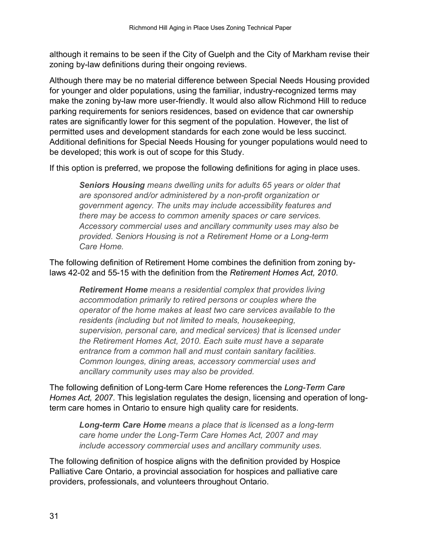although it remains to be seen if the City of Guelph and the City of Markham revise their zoning by-law definitions during their ongoing reviews.

Although there may be no material difference between Special Needs Housing provided for younger and older populations, using the familiar, industry-recognized terms may make the zoning by-law more user-friendly. It would also allow Richmond Hill to reduce parking requirements for seniors residences, based on evidence that car ownership rates are significantly lower for this segment of the population. However, the list of permitted uses and development standards for each zone would be less succinct. Additional definitions for Special Needs Housing for younger populations would need to be developed; this work is out of scope for this Study.

If this option is preferred, we propose the following definitions for aging in place uses.

*Seniors Housing means dwelling units for adults 65 years or older that are sponsored and/or administered by a non-profit organization or government agency. The units may include accessibility features and there may be access to common amenity spaces or care services. Accessory commercial uses and ancillary community uses may also be provided. Seniors Housing is not a Retirement Home or a Long-term Care Home.* 

The following definition of Retirement Home combines the definition from zoning bylaws 42-02 and 55-15 with the definition from the *Retirement Homes Act, 2010*.

*Retirement Home means a residential complex that provides living accommodation primarily to retired persons or couples where the operator of the home makes at least two care services available to the residents (including but not limited to meals, housekeeping, supervision, personal care, and medical services) that is licensed under the Retirement Homes Act, 2010. Each suite must have a separate entrance from a common hall and must contain sanitary facilities. Common lounges, dining areas, accessory commercial uses and ancillary community uses may also be provided.*

The following definition of Long-term Care Home references the *Long-Term Care Homes Act, 2007*. This legislation regulates the design, licensing and operation of longterm care homes in Ontario to ensure high quality care for residents.

*Long-term Care Home means a place that is licensed as a long-term care home under the Long-Term Care Homes Act, 2007 and may include accessory commercial uses and ancillary community uses.* 

The following definition of hospice aligns with the definition provided by Hospice Palliative Care Ontario, a provincial association for hospices and palliative care providers, professionals, and volunteers throughout Ontario.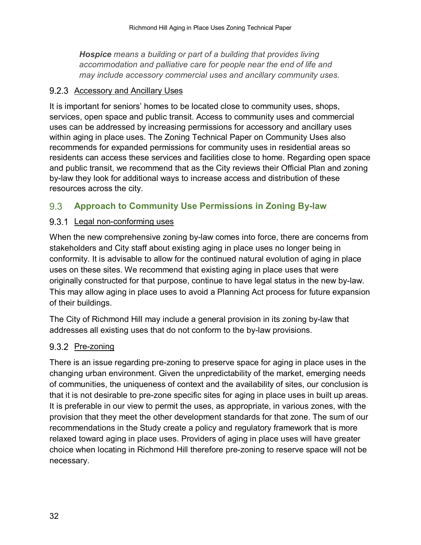*Hospice means a building or part of a building that provides living accommodation and palliative care for people near the end of life and may include accessory commercial uses and ancillary community uses.* 

### <span id="page-35-0"></span>9.2.3 Accessory and Ancillary Uses

It is important for seniors' homes to be located close to community uses, shops, services, open space and public transit. Access to community uses and commercial uses can be addressed by increasing permissions for accessory and ancillary uses within aging in place uses. The Zoning Technical Paper on Community Uses also recommends for expanded permissions for community uses in residential areas so residents can access these services and facilities close to home. Regarding open space and public transit, we recommend that as the City reviews their Official Plan and zoning by-law they look for additional ways to increase access and distribution of these resources across the city.

#### <span id="page-35-1"></span>9.3 **Approach to Community Use Permissions in Zoning By-law**

## <span id="page-35-2"></span>9.3.1 Legal non-conforming uses

When the new comprehensive zoning by-law comes into force, there are concerns from stakeholders and City staff about existing aging in place uses no longer being in conformity. It is advisable to allow for the continued natural evolution of aging in place uses on these sites. We recommend that existing aging in place uses that were originally constructed for that purpose, continue to have legal status in the new by-law. This may allow aging in place uses to avoid a Planning Act process for future expansion of their buildings.

The City of Richmond Hill may include a general provision in its zoning by-law that addresses all existing uses that do not conform to the by-law provisions.

### <span id="page-35-3"></span>9.3.2 Pre-zoning

There is an issue regarding pre-zoning to preserve space for aging in place uses in the changing urban environment. Given the unpredictability of the market, emerging needs of communities, the uniqueness of context and the availability of sites, our conclusion is that it is not desirable to pre-zone specific sites for aging in place uses in built up areas. It is preferable in our view to permit the uses, as appropriate, in various zones, with the provision that they meet the other development standards for that zone. The sum of our recommendations in the Study create a policy and regulatory framework that is more relaxed toward aging in place uses. Providers of aging in place uses will have greater choice when locating in Richmond Hill therefore pre-zoning to reserve space will not be necessary.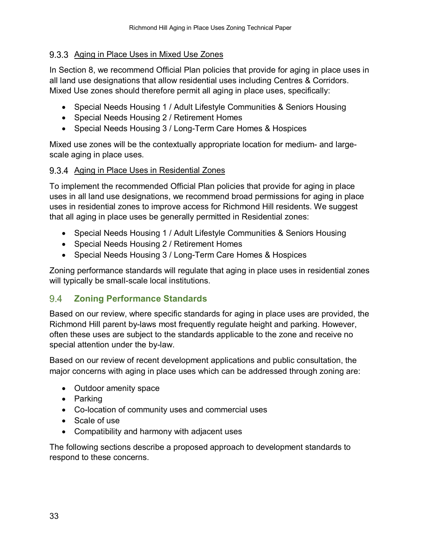## <span id="page-36-0"></span>9.3.3 Aging in Place Uses in Mixed Use Zones

In Section 8, we recommend Official Plan policies that provide for aging in place uses in all land use designations that allow residential uses including Centres & Corridors. Mixed Use zones should therefore permit all aging in place uses, specifically:

- Special Needs Housing 1 / Adult Lifestyle Communities & Seniors Housing
- Special Needs Housing 2 / Retirement Homes
- Special Needs Housing 3 / Long-Term Care Homes & Hospices

Mixed use zones will be the contextually appropriate location for medium- and largescale aging in place uses.

## <span id="page-36-1"></span>9.3.4 Aging in Place Uses in Residential Zones

To implement the recommended Official Plan policies that provide for aging in place uses in all land use designations, we recommend broad permissions for aging in place uses in residential zones to improve access for Richmond Hill residents. We suggest that all aging in place uses be generally permitted in Residential zones:

- Special Needs Housing 1 / Adult Lifestyle Communities & Seniors Housing
- Special Needs Housing 2 / Retirement Homes
- Special Needs Housing 3 / Long-Term Care Homes & Hospices

Zoning performance standards will regulate that aging in place uses in residential zones will typically be small-scale local institutions.

#### <span id="page-36-2"></span>**Zoning Performance Standards**   $9.4^{\circ}$

Based on our review, where specific standards for aging in place uses are provided, the Richmond Hill parent by-laws most frequently regulate height and parking. However, often these uses are subject to the standards applicable to the zone and receive no special attention under the by-law.

Based on our review of recent development applications and public consultation, the major concerns with aging in place uses which can be addressed through zoning are:

- Outdoor amenity space
- Parking
- Co-location of community uses and commercial uses
- Scale of use
- Compatibility and harmony with adjacent uses

The following sections describe a proposed approach to development standards to respond to these concerns.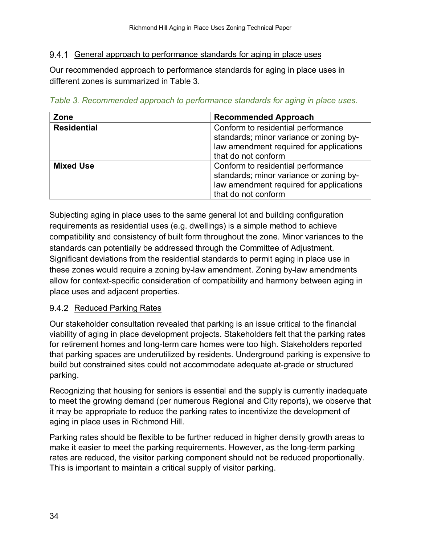## <span id="page-37-0"></span>9.4.1 General approach to performance standards for aging in place uses

Our recommended approach to performance standards for aging in place uses in different zones is summarized in Table 3.

| Table 3. Recommended approach to performance standards for aging in place uses. |  |
|---------------------------------------------------------------------------------|--|
|---------------------------------------------------------------------------------|--|

| Zone               | <b>Recommended Approach</b>                                                                                                                     |  |
|--------------------|-------------------------------------------------------------------------------------------------------------------------------------------------|--|
| <b>Residential</b> | Conform to residential performance<br>standards; minor variance or zoning by-<br>law amendment required for applications<br>that do not conform |  |
| <b>Mixed Use</b>   | Conform to residential performance<br>standards; minor variance or zoning by-<br>law amendment required for applications<br>that do not conform |  |

Subjecting aging in place uses to the same general lot and building configuration requirements as residential uses (e.g. dwellings) is a simple method to achieve compatibility and consistency of built form throughout the zone. Minor variances to the standards can potentially be addressed through the Committee of Adjustment. Significant deviations from the residential standards to permit aging in place use in these zones would require a zoning by-law amendment. Zoning by-law amendments allow for context-specific consideration of compatibility and harmony between aging in place uses and adjacent properties.

## <span id="page-37-1"></span>9.4.2 Reduced Parking Rates

Our stakeholder consultation revealed that parking is an issue critical to the financial viability of aging in place development projects. Stakeholders felt that the parking rates for retirement homes and long-term care homes were too high. Stakeholders reported that parking spaces are underutilized by residents. Underground parking is expensive to build but constrained sites could not accommodate adequate at-grade or structured parking.

Recognizing that housing for seniors is essential and the supply is currently inadequate to meet the growing demand (per numerous Regional and City reports), we observe that it may be appropriate to reduce the parking rates to incentivize the development of aging in place uses in Richmond Hill.

Parking rates should be flexible to be further reduced in higher density growth areas to make it easier to meet the parking requirements. However, as the long-term parking rates are reduced, the visitor parking component should not be reduced proportionally. This is important to maintain a critical supply of visitor parking.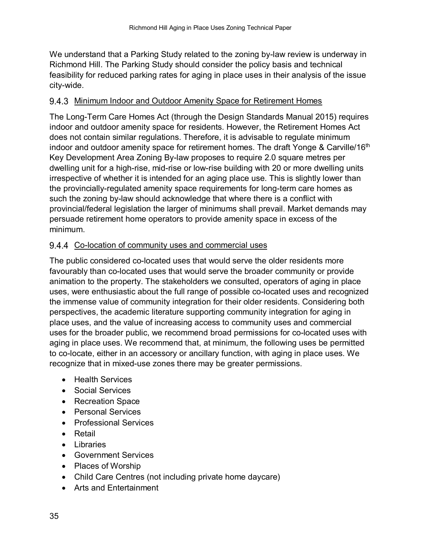We understand that a Parking Study related to the zoning by-law review is underway in Richmond Hill. The Parking Study should consider the policy basis and technical feasibility for reduced parking rates for aging in place uses in their analysis of the issue city-wide.

## <span id="page-38-0"></span>9.4.3 Minimum Indoor and Outdoor Amenity Space for Retirement Homes

The Long-Term Care Homes Act (through the Design Standards Manual 2015) requires indoor and outdoor amenity space for residents. However, the Retirement Homes Act does not contain similar regulations. Therefore, it is advisable to regulate minimum indoor and outdoor amenity space for retirement homes. The draft Yonge & Carville/16<sup>th</sup> Key Development Area Zoning By-law proposes to require 2.0 square metres per dwelling unit for a high-rise, mid-rise or low-rise building with 20 or more dwelling units irrespective of whether it is intended for an aging place use. This is slightly lower than the provincially-regulated amenity space requirements for long-term care homes as such the zoning by-law should acknowledge that where there is a conflict with provincial/federal legislation the larger of minimums shall prevail. Market demands may persuade retirement home operators to provide amenity space in excess of the minimum.

## <span id="page-38-1"></span>9.4.4 Co-location of community uses and commercial uses

The public considered co-located uses that would serve the older residents more favourably than co-located uses that would serve the broader community or provide animation to the property. The stakeholders we consulted, operators of aging in place uses, were enthusiastic about the full range of possible co-located uses and recognized the immense value of community integration for their older residents. Considering both perspectives, the academic literature supporting community integration for aging in place uses, and the value of increasing access to community uses and commercial uses for the broader public, we recommend broad permissions for co-located uses with aging in place uses. We recommend that, at minimum, the following uses be permitted to co-locate, either in an accessory or ancillary function, with aging in place uses. We recognize that in mixed-use zones there may be greater permissions.

- Health Services
- Social Services
- Recreation Space
- Personal Services
- Professional Services
- Retail
- Libraries
- Government Services
- Places of Worship
- Child Care Centres (not including private home daycare)
- Arts and Entertainment